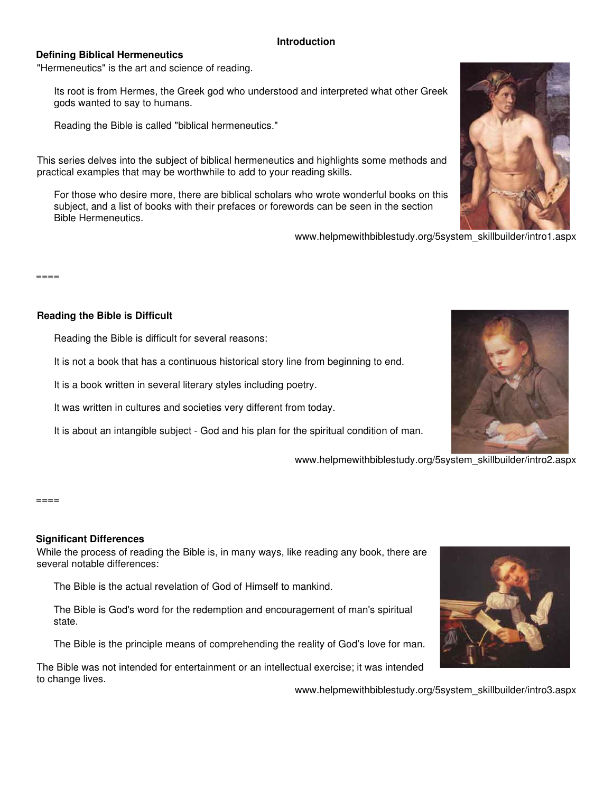#### **Introduction**

#### **Defining Biblical Hermeneutics**

"Hermeneutics" is the art and science of reading.

Its root is from Hermes, the Greek god who understood and interpreted what other Greek gods wanted to say to humans.

Reading the Bible is called "biblical hermeneutics."

This series delves into the subject of biblical hermeneutics and highlights some methods and practical examples that may be worthwhile to add to your reading skills.

For those who desire more, there are biblical scholars who wrote wonderful books on this subject, and a list of books with their prefaces or forewords can be seen in the section Bible Hermeneutics.

www.helpmewithbiblestudy.org/5system\_skillbuilder/intro1.aspx

====

#### **Reading the Bible is Difficult**

Reading the Bible is difficult for several reasons:

It is not a book that has a continuous historical story line from beginning to end.

It is a book written in several literary styles including poetry.

It was written in cultures and societies very different from today.

It is about an intangible subject - God and his plan for the spiritual condition of man.

www.helpmewithbiblestudy.org/5system\_skillbuilder/intro2.aspx

#### $=$  $=$  $=$  $=$  $=$

# **Significant Differences**

While the process of reading the Bible is, in many ways, like reading any book, there are several notable differences:

The Bible is the actual revelation of God of Himself to mankind.

The Bible is God's word for the redemption and encouragement of man's spiritual state.

The Bible is the principle means of comprehending the reality of God's love for man.

The Bible was not intended for entertainment or an intellectual exercise; it was intended to change lives.

www.helpmewithbiblestudy.org/5system\_skillbuilder/intro3.aspx





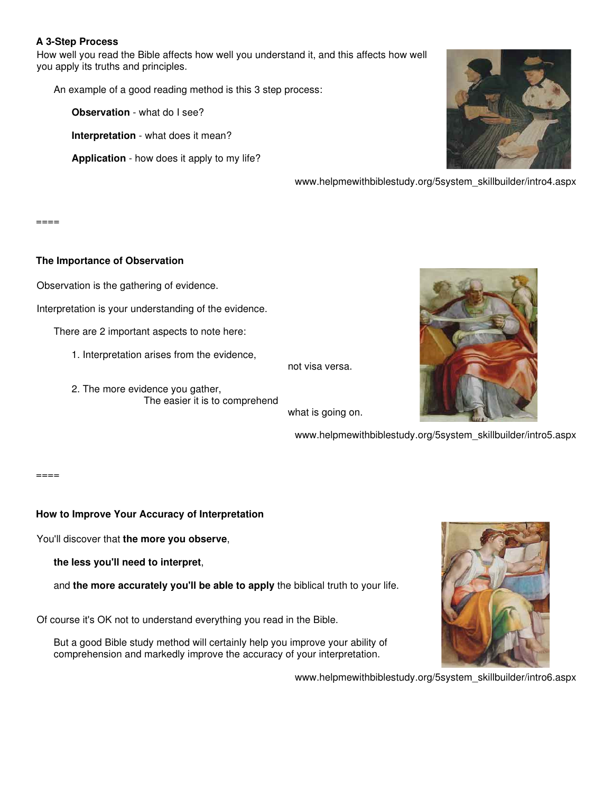### **A 3-Step Process**

How well you read the Bible affects how well you understand it, and this affects how well you apply its truths and principles.

An example of a good reading method is this 3 step process:

**Observation** - what do I see?

**Interpretation** - what does it mean?

**Application** - how does it apply to my life?

www.helpmewithbiblestudy.org/5system\_skillbuilder/intro4.aspx

 $=====$ 

#### **The Importance of Observation**

Observation is the gathering of evidence.

Interpretation is your understanding of the evidence.

There are 2 important aspects to note here:

- 1. Interpretation arises from the evidence,
- not visa versa.
- 2. The more evidence you gather, The easier it is to comprehend

what is going on.

www.helpmewithbiblestudy.org/5system\_skillbuilder/intro5.aspx

 $====$ 

### **How to Improve Your Accuracy of Interpretation**

You'll discover that **the more you observe**,

**the less you'll need to interpret**,

and **the more accurately you'll be able to apply** the biblical truth to your life.

Of course it's OK not to understand everything you read in the Bible.

But a good Bible study method will certainly help you improve your ability of comprehension and markedly improve the accuracy of your interpretation.



www.helpmewithbiblestudy.org/5system\_skillbuilder/intro6.aspx

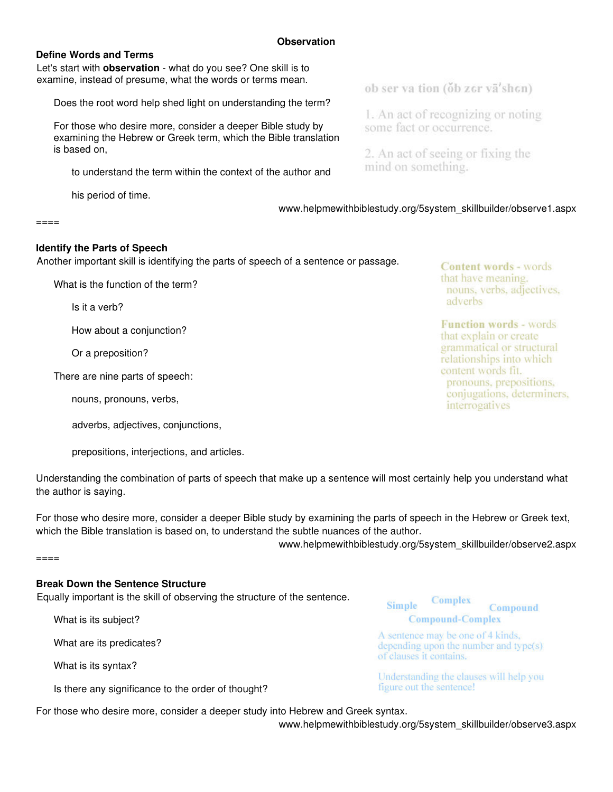### **Define Words and Terms**

Let's start with **observation** - what do you see? One skill is to examine, instead of presume, what the words or terms mean.

Does the root word help shed light on understanding the term?

For those who desire more, consider a deeper Bible study by examining the Hebrew or Greek term, which the Bible translation is based on,

to understand the term within the context of the author and

his period of time.

ob ser va tion (ob zer vā'shen)

1. An act of recognizing or noting some fact or occurrence.

2. An act of seeing or fixing the mind on something.

www.helpmewithbiblestudy.org/5system\_skillbuilder/observe1.aspx

 $=$  $=$  $=$  $=$ 

#### **Identify the Parts of Speech**

Another important skill is identifying the parts of speech of a sentence or passage.

What is the function of the term?

Is it a verb?

How about a conjunction?

Or a preposition?

There are nine parts of speech:

nouns, pronouns, verbs,

adverbs, adjectives, conjunctions,

prepositions, interjections, and articles.

Understanding the combination of parts of speech that make up a sentence will most certainly help you understand what the author is saying.

For those who desire more, consider a deeper Bible study by examining the parts of speech in the Hebrew or Greek text, which the Bible translation is based on, to understand the subtle nuances of the author.

www.helpmewithbiblestudy.org/5system\_skillbuilder/observe2.aspx

 $====$ 

### **Break Down the Sentence Structure**

Equally important is the skill of observing the structure of the sentence.

What is its subject?

What are its predicates?

What is its syntax?

Is there any significance to the order of thought?

**Simple** Compound **Compound-Complex** 

Complex

A sentence may be one of 4 kinds, depending upon the number and type(s) of clauses it contains.

Understanding the clauses will help you figure out the sentence!

For those who desire more, consider a deeper study into Hebrew and Greek syntax.

www.helpmewithbiblestudy.org/5system\_skillbuilder/observe3.aspx

nouns, verbs, adjectives. adverbs **Function words - words** 

**Content words - words** that have meaning.

that explain or create grammatical or structural relationships into which content words fit. pronouns, prepositions, conjugations, determiners, interrogatives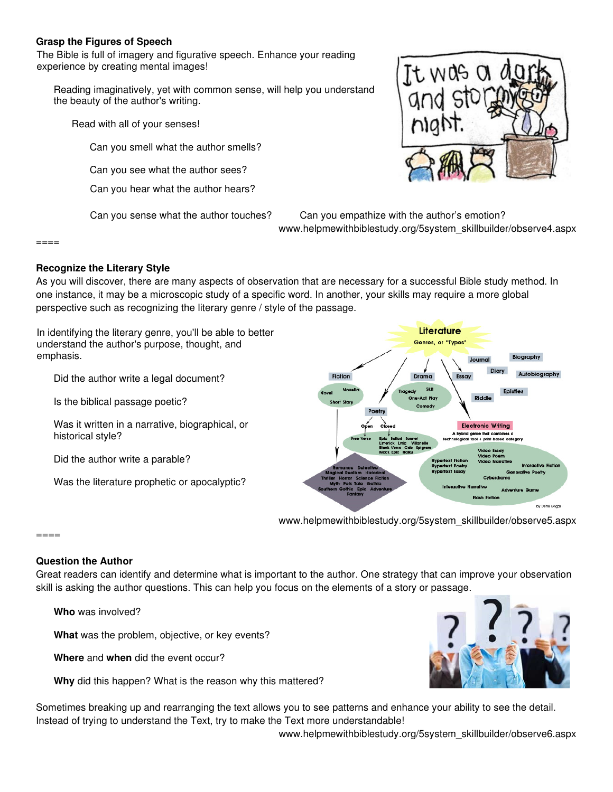### **Grasp the Figures of Speech**

The Bible is full of imagery and figurative speech. Enhance your reading experience by creating mental images!

Reading imaginatively, yet with common sense, will help you understand the beauty of the author's writing.

Read with all of your senses!

Can you smell what the author smells?

Can you see what the author sees?

Can you hear what the author hears?

It was a

Can you sense what the author touches? Can you empathize with the author's emotion? www.helpmewithbiblestudy.org/5system\_skillbuilder/observe4.aspx

====

### **Recognize the Literary Style**

As you will discover, there are many aspects of observation that are necessary for a successful Bible study method. In one instance, it may be a microscopic study of a specific word. In another, your skills may require a more global perspective such as recognizing the literary genre / style of the passage.

Literature In identifying the literary genre, you'll be able to better Genres, or "Types" understand the author's purpose, thought, and emphasis. Did the author write a legal document? Fiction Is the biblical passage poetic? Was it written in a narrative, biographical, or **Electronic Writing** historical style? Did the author write a parable? Was the literature prophetic or apocalyptic?

www.helpmewithbiblestudy.org/5system\_skillbuilder/observe5.aspx

====

# **Question the Author**

Great readers can identify and determine what is important to the author. One strategy that can improve your observation skill is asking the author questions. This can help you focus on the elements of a story or passage.

**Who** was involved?

**What** was the problem, objective, or key events?

**Where** and **when** did the event occur?

**Why** did this happen? What is the reason why this mattered?

Sometimes breaking up and rearranging the text allows you to see patterns and enhance your ability to see the detail. Instead of trying to understand the Text, try to make the Text more understandable!

www.helpmewithbiblestudy.org/5system\_skillbuilder/observe6.aspx



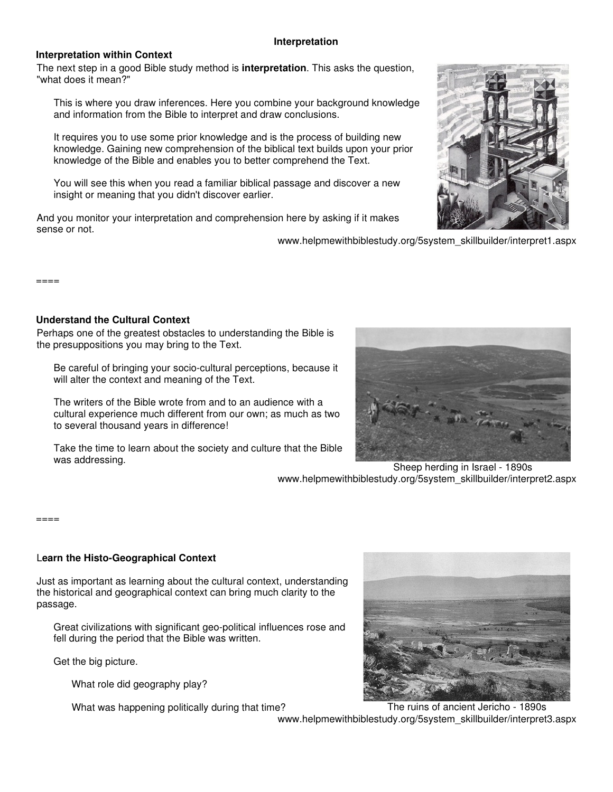#### **Interpretation**

#### **Interpretation within Context**

The next step in a good Bible study method is **interpretation**. This asks the question, "what does it mean?"

This is where you draw inferences. Here you combine your background knowledge and information from the Bible to interpret and draw conclusions.

It requires you to use some prior knowledge and is the process of building new knowledge. Gaining new comprehension of the biblical text builds upon your prior knowledge of the Bible and enables you to better comprehend the Text.

You will see this when you read a familiar biblical passage and discover a new insight or meaning that you didn't discover earlier.

And you monitor your interpretation and comprehension here by asking if it makes sense or not.

www.helpmewithbiblestudy.org/5system\_skillbuilder/interpret1.aspx

====

### **Understand the Cultural Context**

Perhaps one of the greatest obstacles to understanding the Bible is the presuppositions you may bring to the Text.

Be careful of bringing your socio-cultural perceptions, because it will alter the context and meaning of the Text.

The writers of the Bible wrote from and to an audience with a cultural experience much different from our own; as much as two to several thousand years in difference!

Take the time to learn about the society and culture that the Bible was addressing. The state of the state of the state of the state of the Sheep herding in Israel - 1890s



www.helpmewithbiblestudy.org/5system\_skillbuilder/interpret2.aspx

====

# L**earn the Histo-Geographical Context**

Just as important as learning about the cultural context, understanding the historical and geographical context can bring much clarity to the passage.

Great civilizations with significant geo-political influences rose and fell during the period that the Bible was written.

Get the big picture.

What role did geography play?



What was happening politically during that time? The ruins of ancient Jericho - 1890s www.helpmewithbiblestudy.org/5system\_skillbuilder/interpret3.aspx

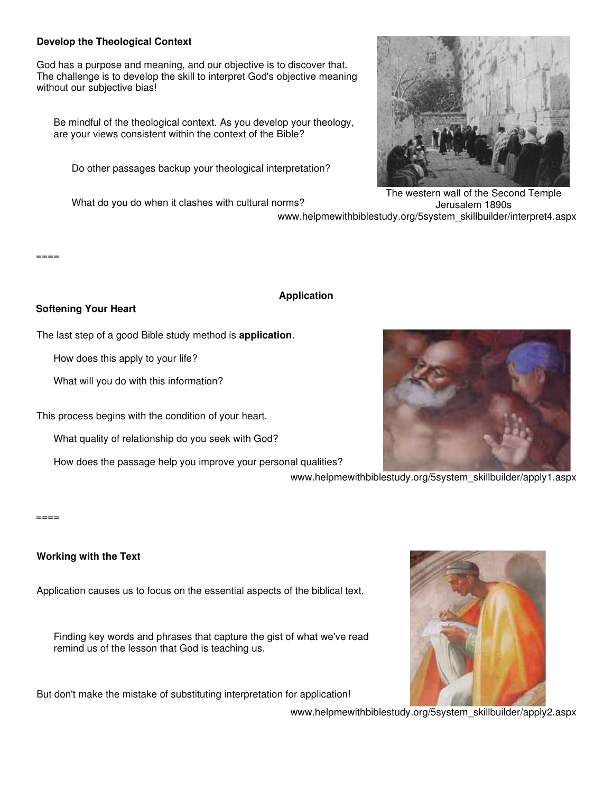### **Develop the Theological Context**

God has a purpose and meaning, and our objective is to discover that. The challenge is to develop the skill to interpret God's objective meaning without our subjective bias!

Be mindful of the theological context. As you develop your theology, are your views consistent within the context of the Bible?

Do other passages backup your theological interpretation?

What do you do when it clashes with cultural norms?



The western wall of the Second Temple Jerusalem 1890s www.helpmewithbiblestudy.org/5system\_skillbuilder/interpret4.aspx

 $====$ 

### **Application**

### **Softening Your Heart**

The last step of a good Bible study method is **application**.

How does this apply to your life?

What will you do with this information?

This process begins with the condition of your heart.

What quality of relationship do you seek with God?

How does the passage help you improve your personal qualities?



www.helpmewithbiblestudy.org/5system\_skillbuilder/apply1.aspx

#### ====

# **Working with the Text**

Application causes us to focus on the essential aspects of the biblical text.

Finding key words and phrases that capture the gist of what we've read remind us of the lesson that God is teaching us.

But don't make the mistake of substituting interpretation for application!



www.helpmewithbiblestudy.org/5system\_skillbuilder/apply2.aspx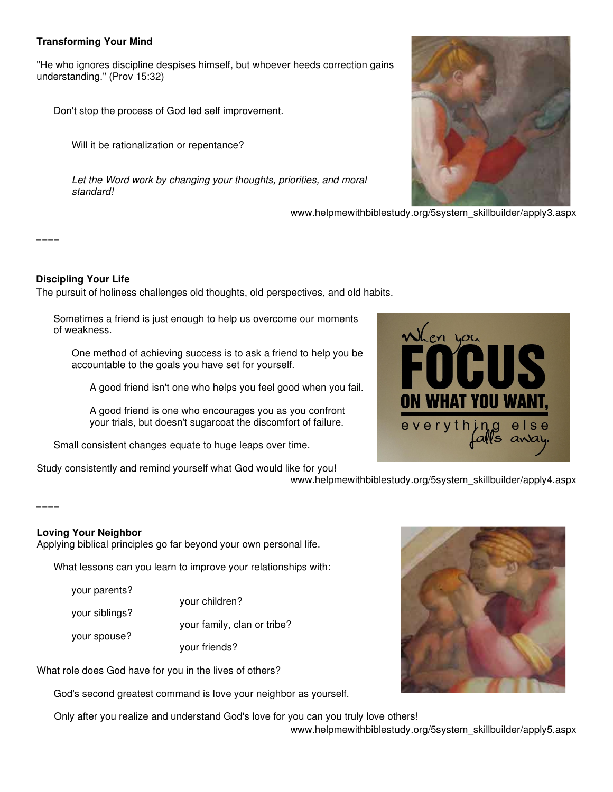### **Transforming Your Mind**

"He who ignores discipline despises himself, but whoever heeds correction gains understanding." (Prov 15:32)

Don't stop the process of God led self improvement.

Will it be rationalization or repentance?

Let the Word work by changing your thoughts, priorities, and moral standard!

www.helpmewithbiblestudy.org/5system\_skillbuilder/apply3.aspx

#### ====

### **Discipling Your Life**

The pursuit of holiness challenges old thoughts, old perspectives, and old habits.

Sometimes a friend is just enough to help us overcome our moments of weakness.

One method of achieving success is to ask a friend to help you be accountable to the goals you have set for yourself.

A good friend isn't one who helps you feel good when you fail.

A good friend is one who encourages you as you confront your trials, but doesn't sugarcoat the discomfort of failure.

Small consistent changes equate to huge leaps over time.

Study consistently and remind yourself what God would like for you!



www.helpmewithbiblestudy.org/5system\_skillbuilder/apply4.aspx

#### ====

### **Loving Your Neighbor**

Applying biblical principles go far beyond your own personal life.

What lessons can you learn to improve your relationships with:

your parents?

your spouse?

your siblings?

your family, clan or tribe?

your children?

your friends?

What role does God have for you in the lives of others?

God's second greatest command is love your neighbor as yourself.

Only after you realize and understand God's love for you can you truly love others!

www.helpmewithbiblestudy.org/5system\_skillbuilder/apply5.aspx



Vhen you

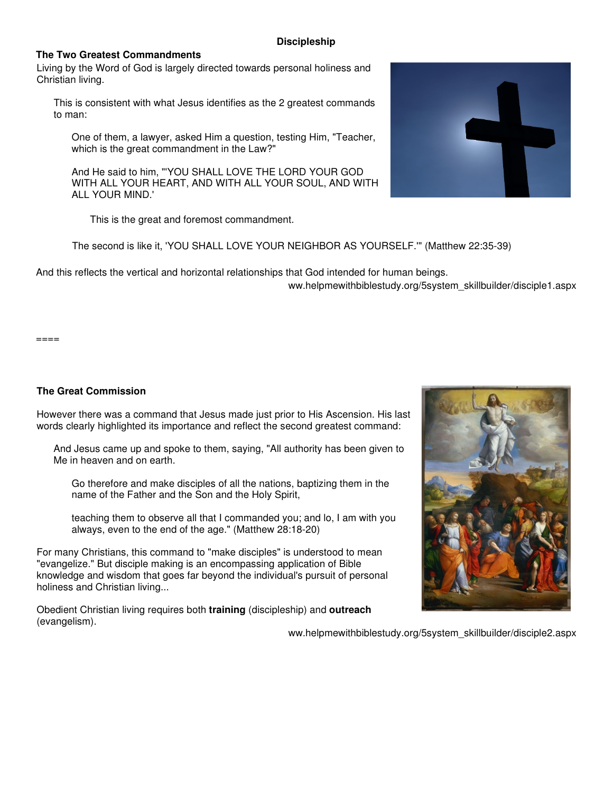#### **Discipleship**

### **The Two Greatest Commandments**

Living by the Word of God is largely directed towards personal holiness and Christian living.

This is consistent with what Jesus identifies as the 2 greatest commands to man:

One of them, a lawyer, asked Him a question, testing Him, "Teacher, which is the great commandment in the Law?"

And He said to him, "'YOU SHALL LOVE THE LORD YOUR GOD WITH ALL YOUR HEART, AND WITH ALL YOUR SOUL, AND WITH ALL YOUR MIND.'

This is the great and foremost commandment.

The second is like it, 'YOU SHALL LOVE YOUR NEIGHBOR AS YOURSELF.'" (Matthew 22:35-39)

And this reflects the vertical and horizontal relationships that God intended for human beings.

ww.helpmewithbiblestudy.org/5system\_skillbuilder/disciple1.aspx

 $=$  $=$  $=$  $=$ 

### **The Great Commission**

However there was a command that Jesus made just prior to His Ascension. His last words clearly highlighted its importance and reflect the second greatest command:

And Jesus came up and spoke to them, saying, "All authority has been given to Me in heaven and on earth.

Go therefore and make disciples of all the nations, baptizing them in the name of the Father and the Son and the Holy Spirit,

teaching them to observe all that I commanded you; and lo, I am with you always, even to the end of the age." (Matthew 28:18-20)

For many Christians, this command to "make disciples" is understood to mean "evangelize." But disciple making is an encompassing application of Bible knowledge and wisdom that goes far beyond the individual's pursuit of personal holiness and Christian living...

Obedient Christian living requires both **training** (discipleship) and **outreach** (evangelism).



ww.helpmewithbiblestudy.org/5system\_skillbuilder/disciple2.aspx

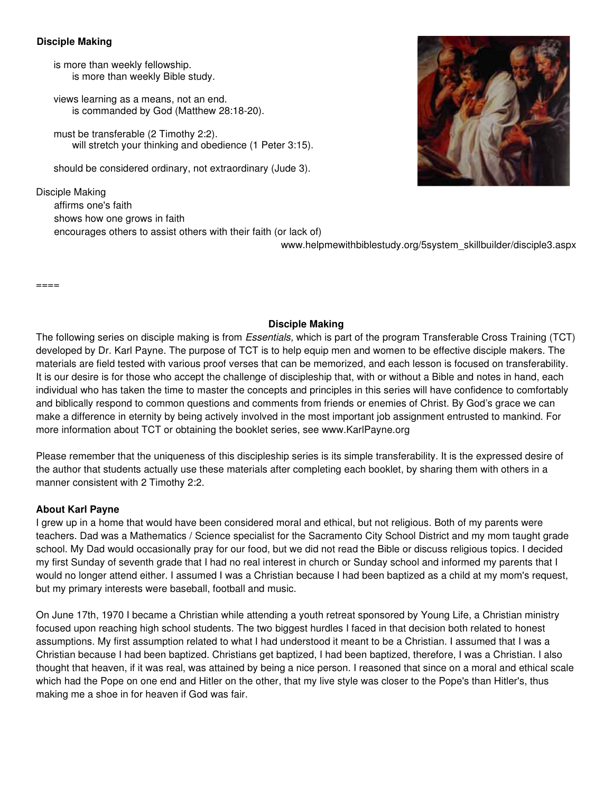### **Disciple Making**

is more than weekly fellowship. is more than weekly Bible study.

views learning as a means, not an end. is commanded by God (Matthew 28:18-20).

must be transferable (2 Timothy 2:2). will stretch your thinking and obedience (1 Peter 3:15).

should be considered ordinary, not extraordinary (Jude 3).

Disciple Making affirms one's faith shows how one grows in faith encourages others to assist others with their faith (or lack of)

www.helpmewithbiblestudy.org/5system\_skillbuilder/disciple3.aspx

====

### **Disciple Making**

The following series on disciple making is from Essentials, which is part of the program Transferable Cross Training (TCT) developed by Dr. Karl Payne. The purpose of TCT is to help equip men and women to be effective disciple makers. The materials are field tested with various proof verses that can be memorized, and each lesson is focused on transferability. It is our desire is for those who accept the challenge of discipleship that, with or without a Bible and notes in hand, each individual who has taken the time to master the concepts and principles in this series will have confidence to comfortably and biblically respond to common questions and comments from friends or enemies of Christ. By God's grace we can make a difference in eternity by being actively involved in the most important job assignment entrusted to mankind. For more information about TCT or obtaining the booklet series, see www.KarlPayne.org

Please remember that the uniqueness of this discipleship series is its simple transferability. It is the expressed desire of the author that students actually use these materials after completing each booklet, by sharing them with others in a manner consistent with 2 Timothy 2:2.

### **About Karl Payne**

I grew up in a home that would have been considered moral and ethical, but not religious. Both of my parents were teachers. Dad was a Mathematics / Science specialist for the Sacramento City School District and my mom taught grade school. My Dad would occasionally pray for our food, but we did not read the Bible or discuss religious topics. I decided my first Sunday of seventh grade that I had no real interest in church or Sunday school and informed my parents that I would no longer attend either. I assumed I was a Christian because I had been baptized as a child at my mom's request, but my primary interests were baseball, football and music.

On June 17th, 1970 I became a Christian while attending a youth retreat sponsored by Young Life, a Christian ministry focused upon reaching high school students. The two biggest hurdles I faced in that decision both related to honest assumptions. My first assumption related to what I had understood it meant to be a Christian. I assumed that I was a Christian because I had been baptized. Christians get baptized, I had been baptized, therefore, I was a Christian. I also thought that heaven, if it was real, was attained by being a nice person. I reasoned that since on a moral and ethical scale which had the Pope on one end and Hitler on the other, that my live style was closer to the Pope's than Hitler's, thus making me a shoe in for heaven if God was fair.

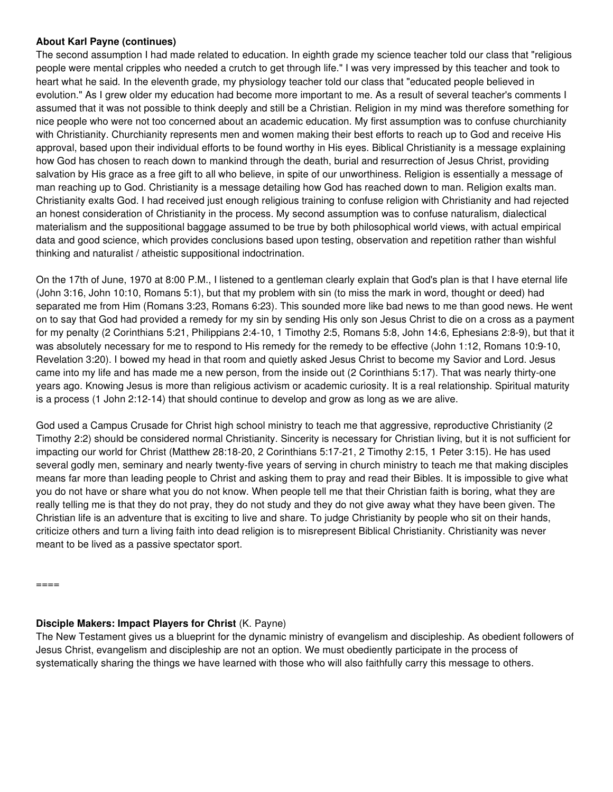### **About Karl Payne (continues)**

The second assumption I had made related to education. In eighth grade my science teacher told our class that "religious people were mental cripples who needed a crutch to get through life." I was very impressed by this teacher and took to heart what he said. In the eleventh grade, my physiology teacher told our class that "educated people believed in evolution." As I grew older my education had become more important to me. As a result of several teacher's comments I assumed that it was not possible to think deeply and still be a Christian. Religion in my mind was therefore something for nice people who were not too concerned about an academic education. My first assumption was to confuse churchianity with Christianity. Churchianity represents men and women making their best efforts to reach up to God and receive His approval, based upon their individual efforts to be found worthy in His eyes. Biblical Christianity is a message explaining how God has chosen to reach down to mankind through the death, burial and resurrection of Jesus Christ, providing salvation by His grace as a free gift to all who believe, in spite of our unworthiness. Religion is essentially a message of man reaching up to God. Christianity is a message detailing how God has reached down to man. Religion exalts man. Christianity exalts God. I had received just enough religious training to confuse religion with Christianity and had rejected an honest consideration of Christianity in the process. My second assumption was to confuse naturalism, dialectical materialism and the suppositional baggage assumed to be true by both philosophical world views, with actual empirical data and good science, which provides conclusions based upon testing, observation and repetition rather than wishful thinking and naturalist / atheistic suppositional indoctrination.

On the 17th of June, 1970 at 8:00 P.M., I listened to a gentleman clearly explain that God's plan is that I have eternal life (John 3:16, John 10:10, Romans 5:1), but that my problem with sin (to miss the mark in word, thought or deed) had separated me from Him (Romans 3:23, Romans 6:23). This sounded more like bad news to me than good news. He went on to say that God had provided a remedy for my sin by sending His only son Jesus Christ to die on a cross as a payment for my penalty (2 Corinthians 5:21, Philippians 2:4-10, 1 Timothy 2:5, Romans 5:8, John 14:6, Ephesians 2:8-9), but that it was absolutely necessary for me to respond to His remedy for the remedy to be effective (John 1:12, Romans 10:9-10, Revelation 3:20). I bowed my head in that room and quietly asked Jesus Christ to become my Savior and Lord. Jesus came into my life and has made me a new person, from the inside out (2 Corinthians 5:17). That was nearly thirty-one years ago. Knowing Jesus is more than religious activism or academic curiosity. It is a real relationship. Spiritual maturity is a process (1 John 2:12-14) that should continue to develop and grow as long as we are alive.

God used a Campus Crusade for Christ high school ministry to teach me that aggressive, reproductive Christianity (2 Timothy 2:2) should be considered normal Christianity. Sincerity is necessary for Christian living, but it is not sufficient for impacting our world for Christ (Matthew 28:18-20, 2 Corinthians 5:17-21, 2 Timothy 2:15, 1 Peter 3:15). He has used several godly men, seminary and nearly twenty-five years of serving in church ministry to teach me that making disciples means far more than leading people to Christ and asking them to pray and read their Bibles. It is impossible to give what you do not have or share what you do not know. When people tell me that their Christian faith is boring, what they are really telling me is that they do not pray, they do not study and they do not give away what they have been given. The Christian life is an adventure that is exciting to live and share. To judge Christianity by people who sit on their hands, criticize others and turn a living faith into dead religion is to misrepresent Biblical Christianity. Christianity was never meant to be lived as a passive spectator sport.

 $=$  $=$  $=$  $=$ 

# **Disciple Makers: Impact Players for Christ** (K. Payne)

The New Testament gives us a blueprint for the dynamic ministry of evangelism and discipleship. As obedient followers of Jesus Christ, evangelism and discipleship are not an option. We must obediently participate in the process of systematically sharing the things we have learned with those who will also faithfully carry this message to others.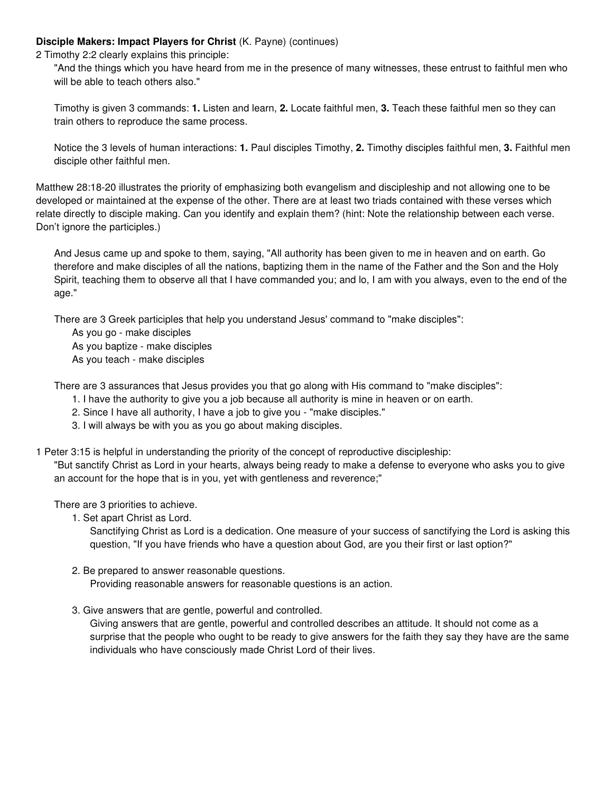### **Disciple Makers: Impact Players for Christ** (K. Payne) (continues)

2 Timothy 2:2 clearly explains this principle:

"And the things which you have heard from me in the presence of many witnesses, these entrust to faithful men who will be able to teach others also."

Timothy is given 3 commands: **1.** Listen and learn, **2.** Locate faithful men, **3.** Teach these faithful men so they can train others to reproduce the same process.

Notice the 3 levels of human interactions: **1.** Paul disciples Timothy, **2.** Timothy disciples faithful men, **3.** Faithful men disciple other faithful men.

Matthew 28:18-20 illustrates the priority of emphasizing both evangelism and discipleship and not allowing one to be developed or maintained at the expense of the other. There are at least two triads contained with these verses which relate directly to disciple making. Can you identify and explain them? (hint: Note the relationship between each verse. Don't ignore the participles.)

And Jesus came up and spoke to them, saying, "All authority has been given to me in heaven and on earth. Go therefore and make disciples of all the nations, baptizing them in the name of the Father and the Son and the Holy Spirit, teaching them to observe all that I have commanded you; and lo, I am with you always, even to the end of the age."

There are 3 Greek participles that help you understand Jesus' command to "make disciples":

As you go - make disciples

As you baptize - make disciples

As you teach - make disciples

There are 3 assurances that Jesus provides you that go along with His command to "make disciples":

- 1. I have the authority to give you a job because all authority is mine in heaven or on earth.
- 2. Since I have all authority, I have a job to give you "make disciples."
- 3. I will always be with you as you go about making disciples.

1 Peter 3:15 is helpful in understanding the priority of the concept of reproductive discipleship:

"But sanctify Christ as Lord in your hearts, always being ready to make a defense to everyone who asks you to give an account for the hope that is in you, yet with gentleness and reverence;"

There are 3 priorities to achieve.

1. Set apart Christ as Lord.

Sanctifying Christ as Lord is a dedication. One measure of your success of sanctifying the Lord is asking this question, "If you have friends who have a question about God, are you their first or last option?"

- 2. Be prepared to answer reasonable questions. Providing reasonable answers for reasonable questions is an action.
- 3. Give answers that are gentle, powerful and controlled.

Giving answers that are gentle, powerful and controlled describes an attitude. It should not come as a surprise that the people who ought to be ready to give answers for the faith they say they have are the same individuals who have consciously made Christ Lord of their lives.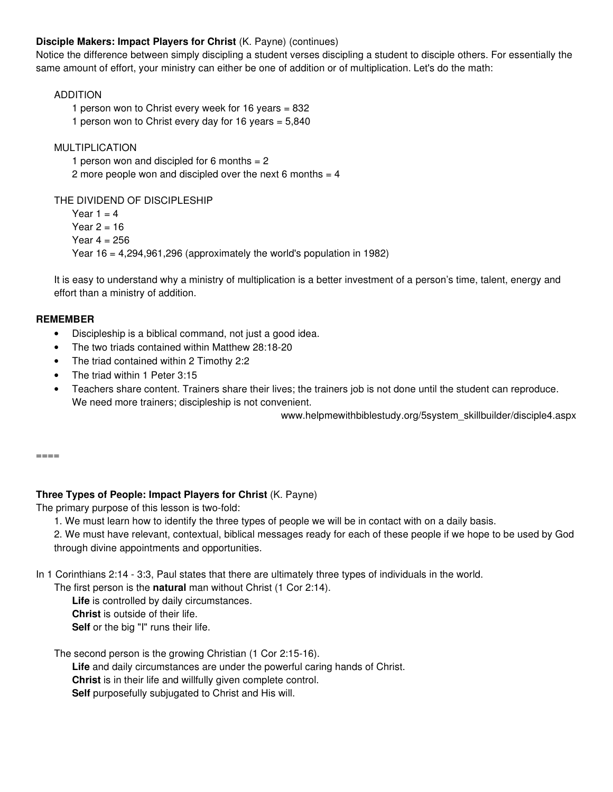# **Disciple Makers: Impact Players for Christ** (K. Payne) (continues)

Notice the difference between simply discipling a student verses discipling a student to disciple others. For essentially the same amount of effort, your ministry can either be one of addition or of multiplication. Let's do the math:

### ADDITION

1 person won to Christ every week for 16 years = 832 1 person won to Christ every day for 16 years  $= 5,840$ 

MULTIPLICATION

1 person won and discipled for 6 months  $= 2$ 2 more people won and discipled over the next 6 months  $=$  4

THE DIVIDEND OF DISCIPLESHIP

Year  $1 = 4$ Year  $2 = 16$ Year  $4 = 256$ Year  $16 = 4,294,961,296$  (approximately the world's population in 1982)

It is easy to understand why a ministry of multiplication is a better investment of a person's time, talent, energy and effort than a ministry of addition.

### **REMEMBER**

- Discipleship is a biblical command, not just a good idea.
- The two triads contained within Matthew 28:18-20
- The triad contained within 2 Timothy 2:2
- The triad within 1 Peter 3:15
- Teachers share content. Trainers share their lives; the trainers job is not done until the student can reproduce. We need more trainers; discipleship is not convenient.

www.helpmewithbiblestudy.org/5system\_skillbuilder/disciple4.aspx

====

### **Three Types of People: Impact Players for Christ** (K. Payne)

The primary purpose of this lesson is two-fold:

- 1. We must learn how to identify the three types of people we will be in contact with on a daily basis.
- 2. We must have relevant, contextual, biblical messages ready for each of these people if we hope to be used by God through divine appointments and opportunities.

In 1 Corinthians 2:14 - 3:3, Paul states that there are ultimately three types of individuals in the world.

The first person is the **natural** man without Christ (1 Cor 2:14).

**Life** is controlled by daily circumstances.

**Christ** is outside of their life.

**Self** or the big "I" runs their life.

The second person is the growing Christian (1 Cor 2:15-16).

**Life** and daily circumstances are under the powerful caring hands of Christ.

**Christ** is in their life and willfully given complete control.

**Self** purposefully subjugated to Christ and His will.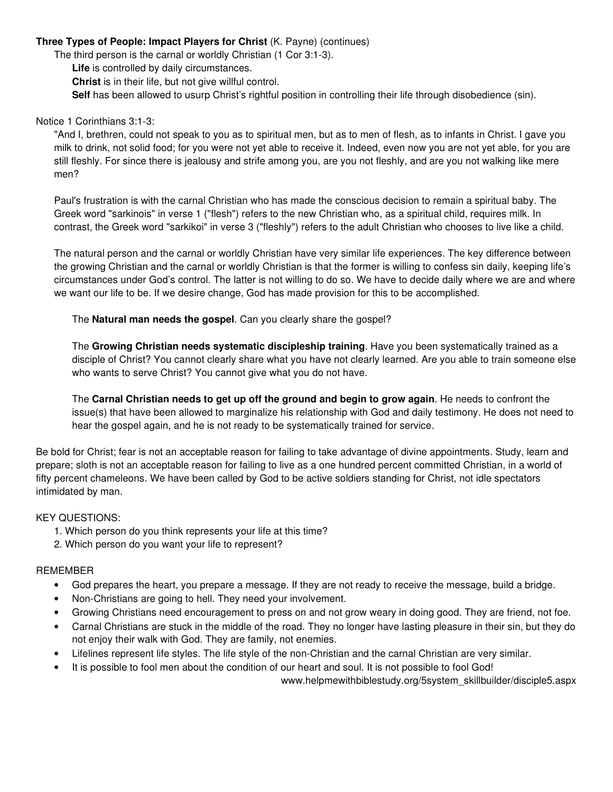### **Three Types of People: Impact Players for Christ** (K. Payne) (continues)

The third person is the carnal or worldly Christian (1 Cor 3:1-3).

**Life** is controlled by daily circumstances.

**Christ** is in their life, but not give willful control.

**Self** has been allowed to usurp Christ's rightful position in controlling their life through disobedience (sin).

#### Notice 1 Corinthians 3:1-3:

"And I, brethren, could not speak to you as to spiritual men, but as to men of flesh, as to infants in Christ. I gave you milk to drink, not solid food; for you were not yet able to receive it. Indeed, even now you are not yet able, for you are still fleshly. For since there is jealousy and strife among you, are you not fleshly, and are you not walking like mere men?

Paul's frustration is with the carnal Christian who has made the conscious decision to remain a spiritual baby. The Greek word "sarkinois" in verse 1 ("flesh") refers to the new Christian who, as a spiritual child, requires milk. In contrast, the Greek word "sarkikoi" in verse 3 ("fleshly") refers to the adult Christian who chooses to live like a child.

The natural person and the carnal or worldly Christian have very similar life experiences. The key difference between the growing Christian and the carnal or worldly Christian is that the former is willing to confess sin daily, keeping life's circumstances under God's control. The latter is not willing to do so. We have to decide daily where we are and where we want our life to be. If we desire change, God has made provision for this to be accomplished.

The **Natural man needs the gospel**. Can you clearly share the gospel?

The **Growing Christian needs systematic discipleship training**. Have you been systematically trained as a disciple of Christ? You cannot clearly share what you have not clearly learned. Are you able to train someone else who wants to serve Christ? You cannot give what you do not have.

The **Carnal Christian needs to get up off the ground and begin to grow again**. He needs to confront the issue(s) that have been allowed to marginalize his relationship with God and daily testimony. He does not need to hear the gospel again, and he is not ready to be systematically trained for service.

Be bold for Christ; fear is not an acceptable reason for failing to take advantage of divine appointments. Study, learn and prepare; sloth is not an acceptable reason for failing to live as a one hundred percent committed Christian, in a world of fifty percent chameleons. We have been called by God to be active soldiers standing for Christ, not idle spectators intimidated by man.

### KEY QUESTIONS:

- 1. Which person do you think represents your life at this time?
- 2. Which person do you want your life to represent?

#### REMEMBER

- God prepares the heart, you prepare a message. If they are not ready to receive the message, build a bridge.
- Non-Christians are going to hell. They need your involvement.
- Growing Christians need encouragement to press on and not grow weary in doing good. They are friend, not foe.
- Carnal Christians are stuck in the middle of the road. They no longer have lasting pleasure in their sin, but they do not enjoy their walk with God. They are family, not enemies.
- Lifelines represent life styles. The life style of the non-Christian and the carnal Christian are very similar.
- It is possible to fool men about the condition of our heart and soul. It is not possible to fool God!

www.helpmewithbiblestudy.org/5system\_skillbuilder/disciple5.aspx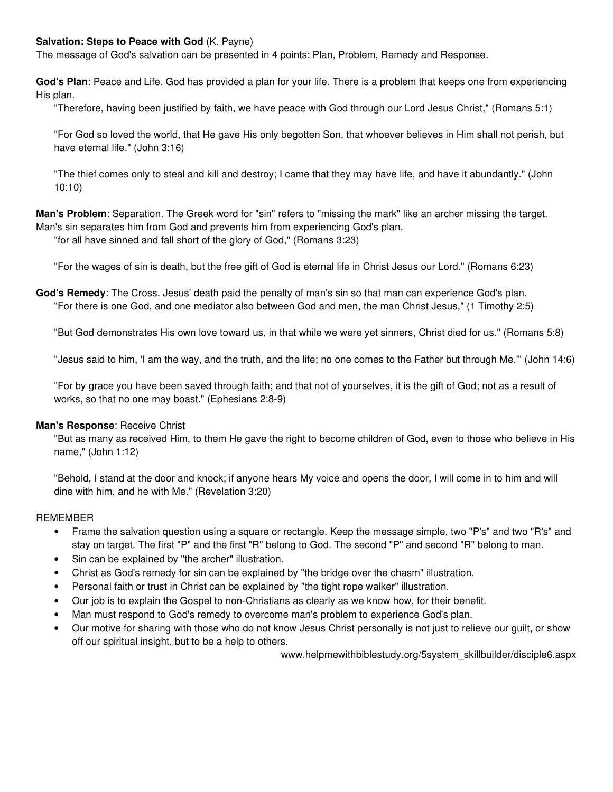### **Salvation: Steps to Peace with God** (K. Payne)

The message of God's salvation can be presented in 4 points: Plan, Problem, Remedy and Response.

**God's Plan**: Peace and Life. God has provided a plan for your life. There is a problem that keeps one from experiencing His plan.

"Therefore, having been justified by faith, we have peace with God through our Lord Jesus Christ," (Romans 5:1)

"For God so loved the world, that He gave His only begotten Son, that whoever believes in Him shall not perish, but have eternal life." (John 3:16)

"The thief comes only to steal and kill and destroy; I came that they may have life, and have it abundantly." (John 10:10)

**Man's Problem**: Separation. The Greek word for "sin" refers to "missing the mark" like an archer missing the target. Man's sin separates him from God and prevents him from experiencing God's plan.

"for all have sinned and fall short of the glory of God," (Romans 3:23)

"For the wages of sin is death, but the free gift of God is eternal life in Christ Jesus our Lord." (Romans 6:23)

**God's Remedy**: The Cross. Jesus' death paid the penalty of man's sin so that man can experience God's plan. "For there is one God, and one mediator also between God and men, the man Christ Jesus," (1 Timothy 2:5)

"But God demonstrates His own love toward us, in that while we were yet sinners, Christ died for us." (Romans 5:8)

"Jesus said to him, 'I am the way, and the truth, and the life; no one comes to the Father but through Me.'" (John 14:6)

"For by grace you have been saved through faith; and that not of yourselves, it is the gift of God; not as a result of works, so that no one may boast." (Ephesians 2:8-9)

### **Man's Response**: Receive Christ

"But as many as received Him, to them He gave the right to become children of God, even to those who believe in His name," (John 1:12)

"Behold, I stand at the door and knock; if anyone hears My voice and opens the door, I will come in to him and will dine with him, and he with Me." (Revelation 3:20)

#### REMEMBER

- Frame the salvation question using a square or rectangle. Keep the message simple, two "P's" and two "R's" and stay on target. The first "P" and the first "R" belong to God. The second "P" and second "R" belong to man.
- Sin can be explained by "the archer" illustration.
- Christ as God's remedy for sin can be explained by "the bridge over the chasm" illustration.
- Personal faith or trust in Christ can be explained by "the tight rope walker" illustration.
- Our job is to explain the Gospel to non-Christians as clearly as we know how, for their benefit.
- Man must respond to God's remedy to overcome man's problem to experience God's plan.
- Our motive for sharing with those who do not know Jesus Christ personally is not just to relieve our guilt, or show off our spiritual insight, but to be a help to others.

www.helpmewithbiblestudy.org/5system\_skillbuilder/disciple6.aspx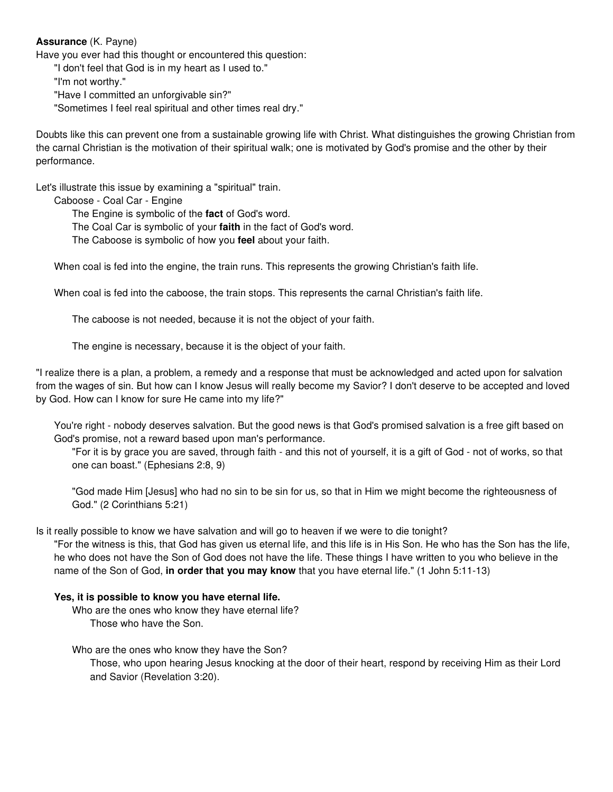### **Assurance** (K. Payne)

Have you ever had this thought or encountered this question:

"I don't feel that God is in my heart as I used to."

"I'm not worthy."

"Have I committed an unforgivable sin?"

"Sometimes I feel real spiritual and other times real dry."

Doubts like this can prevent one from a sustainable growing life with Christ. What distinguishes the growing Christian from the carnal Christian is the motivation of their spiritual walk; one is motivated by God's promise and the other by their performance.

Let's illustrate this issue by examining a "spiritual" train.

Caboose - Coal Car - Engine

The Engine is symbolic of the **fact** of God's word.

The Coal Car is symbolic of your **faith** in the fact of God's word.

The Caboose is symbolic of how you **feel** about your faith.

When coal is fed into the engine, the train runs. This represents the growing Christian's faith life.

When coal is fed into the caboose, the train stops. This represents the carnal Christian's faith life.

The caboose is not needed, because it is not the object of your faith.

The engine is necessary, because it is the object of your faith.

"I realize there is a plan, a problem, a remedy and a response that must be acknowledged and acted upon for salvation from the wages of sin. But how can I know Jesus will really become my Savior? I don't deserve to be accepted and loved by God. How can I know for sure He came into my life?"

You're right - nobody deserves salvation. But the good news is that God's promised salvation is a free gift based on God's promise, not a reward based upon man's performance.

"For it is by grace you are saved, through faith - and this not of yourself, it is a gift of God - not of works, so that one can boast." (Ephesians 2:8, 9)

"God made Him [Jesus] who had no sin to be sin for us, so that in Him we might become the righteousness of God." (2 Corinthians 5:21)

Is it really possible to know we have salvation and will go to heaven if we were to die tonight?

"For the witness is this, that God has given us eternal life, and this life is in His Son. He who has the Son has the life, he who does not have the Son of God does not have the life. These things I have written to you who believe in the name of the Son of God, **in order that you may know** that you have eternal life." (1 John 5:11-13)

### **Yes, it is possible to know you have eternal life.**

Who are the ones who know they have eternal life? Those who have the Son.

Who are the ones who know they have the Son?

Those, who upon hearing Jesus knocking at the door of their heart, respond by receiving Him as their Lord and Savior (Revelation 3:20).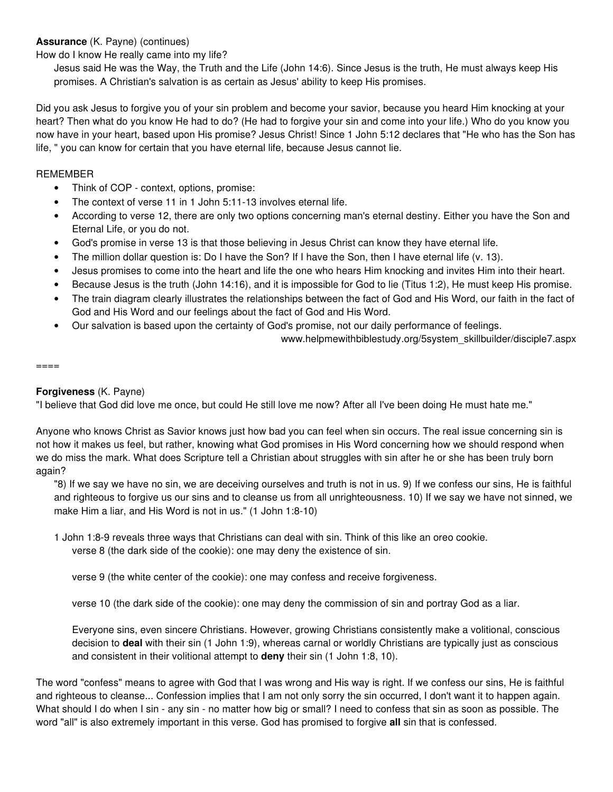## **Assurance** (K. Payne) (continues)

How do I know He really came into my life?

Jesus said He was the Way, the Truth and the Life (John 14:6). Since Jesus is the truth, He must always keep His promises. A Christian's salvation is as certain as Jesus' ability to keep His promises.

Did you ask Jesus to forgive you of your sin problem and become your savior, because you heard Him knocking at your heart? Then what do you know He had to do? (He had to forgive your sin and come into your life.) Who do you know you now have in your heart, based upon His promise? Jesus Christ! Since 1 John 5:12 declares that "He who has the Son has life, " you can know for certain that you have eternal life, because Jesus cannot lie.

### REMEMBER

- Think of COP context, options, promise:
- The context of verse 11 in 1 John 5:11-13 involves eternal life.
- According to verse 12, there are only two options concerning man's eternal destiny. Either you have the Son and Eternal Life, or you do not.
- God's promise in verse 13 is that those believing in Jesus Christ can know they have eternal life.
- The million dollar question is: Do I have the Son? If I have the Son, then I have eternal life (v. 13).
- Jesus promises to come into the heart and life the one who hears Him knocking and invites Him into their heart.
- Because Jesus is the truth (John 14:16), and it is impossible for God to lie (Titus 1:2), He must keep His promise.
- The train diagram clearly illustrates the relationships between the fact of God and His Word, our faith in the fact of God and His Word and our feelings about the fact of God and His Word.
- Our salvation is based upon the certainty of God's promise, not our daily performance of feelings.

www.helpmewithbiblestudy.org/5system\_skillbuilder/disciple7.aspx

====

### **Forgiveness** (K. Payne)

"I believe that God did love me once, but could He still love me now? After all I've been doing He must hate me."

Anyone who knows Christ as Savior knows just how bad you can feel when sin occurs. The real issue concerning sin is not how it makes us feel, but rather, knowing what God promises in His Word concerning how we should respond when we do miss the mark. What does Scripture tell a Christian about struggles with sin after he or she has been truly born again?

"8) If we say we have no sin, we are deceiving ourselves and truth is not in us. 9) If we confess our sins, He is faithful and righteous to forgive us our sins and to cleanse us from all unrighteousness. 10) If we say we have not sinned, we make Him a liar, and His Word is not in us." (1 John 1:8-10)

1 John 1:8-9 reveals three ways that Christians can deal with sin. Think of this like an oreo cookie.

verse 8 (the dark side of the cookie): one may deny the existence of sin.

verse 9 (the white center of the cookie): one may confess and receive forgiveness.

verse 10 (the dark side of the cookie): one may deny the commission of sin and portray God as a liar.

Everyone sins, even sincere Christians. However, growing Christians consistently make a volitional, conscious decision to **deal** with their sin (1 John 1:9), whereas carnal or worldly Christians are typically just as conscious and consistent in their volitional attempt to **deny** their sin (1 John 1:8, 10).

The word "confess" means to agree with God that I was wrong and His way is right. If we confess our sins, He is faithful and righteous to cleanse... Confession implies that I am not only sorry the sin occurred, I don't want it to happen again. What should I do when I sin - any sin - no matter how big or small? I need to confess that sin as soon as possible. The word "all" is also extremely important in this verse. God has promised to forgive **all** sin that is confessed.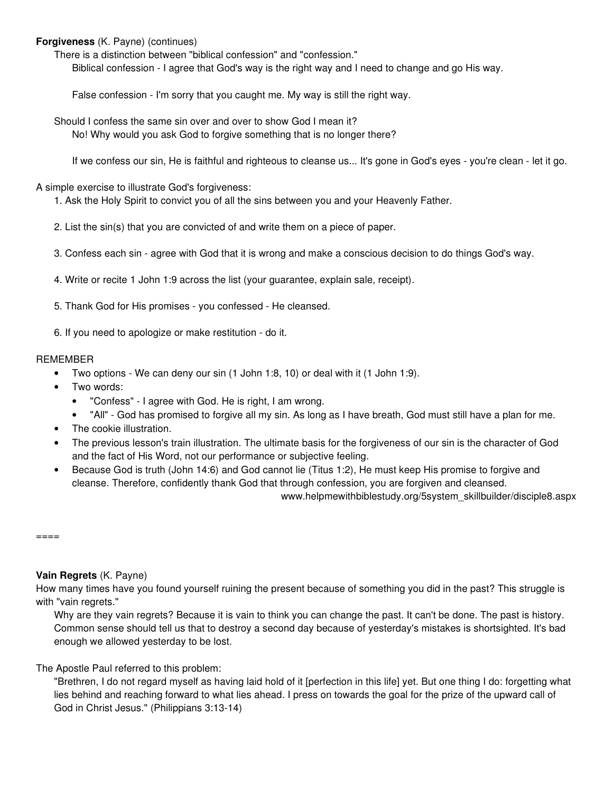### **Forgiveness** (K. Payne) (continues)

There is a distinction between "biblical confession" and "confession." Biblical confession - I agree that God's way is the right way and I need to change and go His way.

False confession - I'm sorry that you caught me. My way is still the right way.

Should I confess the same sin over and over to show God I mean it? No! Why would you ask God to forgive something that is no longer there?

If we confess our sin, He is faithful and righteous to cleanse us... It's gone in God's eyes - you're clean - let it go.

A simple exercise to illustrate God's forgiveness:

- 1. Ask the Holy Spirit to convict you of all the sins between you and your Heavenly Father.
- 2. List the sin(s) that you are convicted of and write them on a piece of paper.
- 3. Confess each sin agree with God that it is wrong and make a conscious decision to do things God's way.
- 4. Write or recite 1 John 1:9 across the list (your guarantee, explain sale, receipt).
- 5. Thank God for His promises you confessed He cleansed.

6. If you need to apologize or make restitution - do it.

### REMEMBER

- Two options We can deny our sin (1 John 1:8, 10) or deal with it (1 John 1:9).
- Two words:
	- "Confess" I agree with God. He is right, I am wrong.
	- "All" God has promised to forgive all my sin. As long as I have breath, God must still have a plan for me.
- The cookie illustration.
- The previous lesson's train illustration. The ultimate basis for the forgiveness of our sin is the character of God and the fact of His Word, not our performance or subjective feeling.
- Because God is truth (John 14:6) and God cannot lie (Titus 1:2), He must keep His promise to forgive and cleanse. Therefore, confidently thank God that through confession, you are forgiven and cleansed.

www.helpmewithbiblestudy.org/5system\_skillbuilder/disciple8.aspx

 $====$ 

# **Vain Regrets** (K. Payne)

How many times have you found yourself ruining the present because of something you did in the past? This struggle is with "vain regrets."

Why are they vain regrets? Because it is vain to think you can change the past. It can't be done. The past is history. Common sense should tell us that to destroy a second day because of yesterday's mistakes is shortsighted. It's bad enough we allowed yesterday to be lost.

The Apostle Paul referred to this problem:

"Brethren, I do not regard myself as having laid hold of it [perfection in this life] yet. But one thing I do: forgetting what lies behind and reaching forward to what lies ahead. I press on towards the goal for the prize of the upward call of God in Christ Jesus." (Philippians 3:13-14)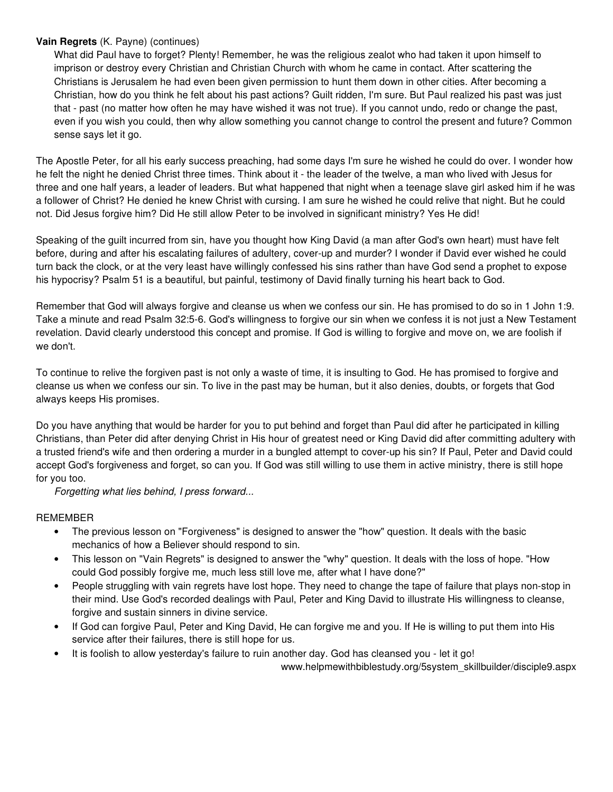### **Vain Regrets** (K. Payne) (continues)

What did Paul have to forget? Plenty! Remember, he was the religious zealot who had taken it upon himself to imprison or destroy every Christian and Christian Church with whom he came in contact. After scattering the Christians is Jerusalem he had even been given permission to hunt them down in other cities. After becoming a Christian, how do you think he felt about his past actions? Guilt ridden, I'm sure. But Paul realized his past was just that - past (no matter how often he may have wished it was not true). If you cannot undo, redo or change the past, even if you wish you could, then why allow something you cannot change to control the present and future? Common sense says let it go.

The Apostle Peter, for all his early success preaching, had some days I'm sure he wished he could do over. I wonder how he felt the night he denied Christ three times. Think about it - the leader of the twelve, a man who lived with Jesus for three and one half years, a leader of leaders. But what happened that night when a teenage slave girl asked him if he was a follower of Christ? He denied he knew Christ with cursing. I am sure he wished he could relive that night. But he could not. Did Jesus forgive him? Did He still allow Peter to be involved in significant ministry? Yes He did!

Speaking of the guilt incurred from sin, have you thought how King David (a man after God's own heart) must have felt before, during and after his escalating failures of adultery, cover-up and murder? I wonder if David ever wished he could turn back the clock, or at the very least have willingly confessed his sins rather than have God send a prophet to expose his hypocrisy? Psalm 51 is a beautiful, but painful, testimony of David finally turning his heart back to God.

Remember that God will always forgive and cleanse us when we confess our sin. He has promised to do so in 1 John 1:9. Take a minute and read Psalm 32:5-6. God's willingness to forgive our sin when we confess it is not just a New Testament revelation. David clearly understood this concept and promise. If God is willing to forgive and move on, we are foolish if we don't.

To continue to relive the forgiven past is not only a waste of time, it is insulting to God. He has promised to forgive and cleanse us when we confess our sin. To live in the past may be human, but it also denies, doubts, or forgets that God always keeps His promises.

Do you have anything that would be harder for you to put behind and forget than Paul did after he participated in killing Christians, than Peter did after denying Christ in His hour of greatest need or King David did after committing adultery with a trusted friend's wife and then ordering a murder in a bungled attempt to cover-up his sin? If Paul, Peter and David could accept God's forgiveness and forget, so can you. If God was still willing to use them in active ministry, there is still hope for you too.

Forgetting what lies behind, I press forward...

# REMEMBER

- The previous lesson on "Forgiveness" is designed to answer the "how" question. It deals with the basic mechanics of how a Believer should respond to sin.
- This lesson on "Vain Regrets" is designed to answer the "why" question. It deals with the loss of hope. "How could God possibly forgive me, much less still love me, after what I have done?"
- People struggling with vain regrets have lost hope. They need to change the tape of failure that plays non-stop in their mind. Use God's recorded dealings with Paul, Peter and King David to illustrate His willingness to cleanse, forgive and sustain sinners in divine service.
- If God can forgive Paul, Peter and King David, He can forgive me and you. If He is willing to put them into His service after their failures, there is still hope for us.
- It is foolish to allow yesterday's failure to ruin another day. God has cleansed you let it go!

www.helpmewithbiblestudy.org/5system\_skillbuilder/disciple9.aspx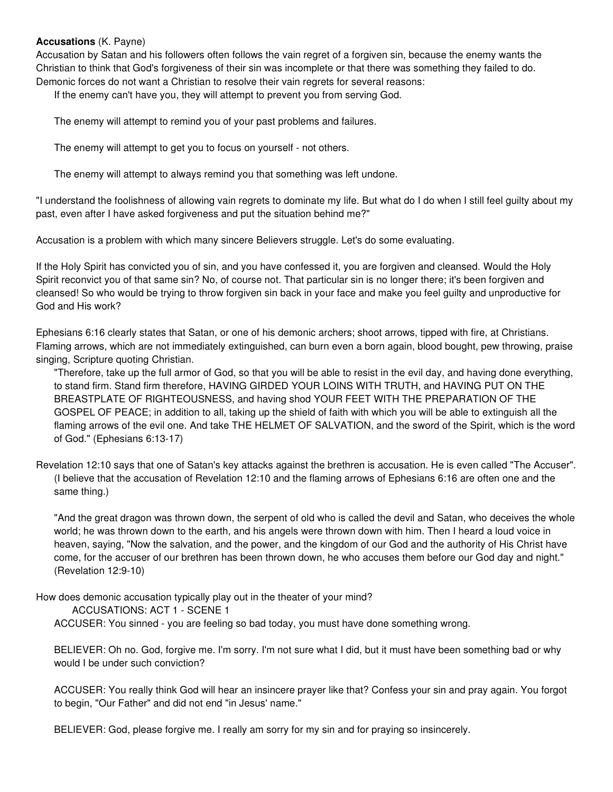### **Accusations** (K. Payne)

Accusation by Satan and his followers often follows the vain regret of a forgiven sin, because the enemy wants the Christian to think that God's forgiveness of their sin was incomplete or that there was something they failed to do. Demonic forces do not want a Christian to resolve their vain regrets for several reasons:

If the enemy can't have you, they will attempt to prevent you from serving God.

The enemy will attempt to remind you of your past problems and failures.

The enemy will attempt to get you to focus on yourself - not others.

The enemy will attempt to always remind you that something was left undone.

"I understand the foolishness of allowing vain regrets to dominate my life. But what do I do when I still feel guilty about my past, even after I have asked forgiveness and put the situation behind me?"

Accusation is a problem with which many sincere Believers struggle. Let's do some evaluating.

If the Holy Spirit has convicted you of sin, and you have confessed it, you are forgiven and cleansed. Would the Holy Spirit reconvict you of that same sin? No, of course not. That particular sin is no longer there; it's been forgiven and cleansed! So who would be trying to throw forgiven sin back in your face and make you feel guilty and unproductive for God and His work?

Ephesians 6:16 clearly states that Satan, or one of his demonic archers; shoot arrows, tipped with fire, at Christians. Flaming arrows, which are not immediately extinguished, can burn even a born again, blood bought, pew throwing, praise singing, Scripture quoting Christian.

"Therefore, take up the full armor of God, so that you will be able to resist in the evil day, and having done everything, to stand firm. Stand firm therefore, HAVING GIRDED YOUR LOINS WITH TRUTH, and HAVING PUT ON THE BREASTPLATE OF RIGHTEOUSNESS, and having shod YOUR FEET WITH THE PREPARATION OF THE GOSPEL OF PEACE; in addition to all, taking up the shield of faith with which you will be able to extinguish all the flaming arrows of the evil one. And take THE HELMET OF SALVATION, and the sword of the Spirit, which is the word of God." (Ephesians 6:13-17)

Revelation 12:10 says that one of Satan's key attacks against the brethren is accusation. He is even called "The Accuser". (I believe that the accusation of Revelation 12:10 and the flaming arrows of Ephesians 6:16 are often one and the same thing.)

"And the great dragon was thrown down, the serpent of old who is called the devil and Satan, who deceives the whole world; he was thrown down to the earth, and his angels were thrown down with him. Then I heard a loud voice in heaven, saying, "Now the salvation, and the power, and the kingdom of our God and the authority of His Christ have come, for the accuser of our brethren has been thrown down, he who accuses them before our God day and night." (Revelation 12:9-10)

How does demonic accusation typically play out in the theater of your mind?

ACCUSATIONS: ACT 1 - SCENE 1

ACCUSER: You sinned - you are feeling so bad today, you must have done something wrong.

BELIEVER: Oh no. God, forgive me. I'm sorry. I'm not sure what I did, but it must have been something bad or why would I be under such conviction?

ACCUSER: You really think God will hear an insincere prayer like that? Confess your sin and pray again. You forgot to begin, "Our Father" and did not end "in Jesus' name."

BELIEVER: God, please forgive me. I really am sorry for my sin and for praying so insincerely.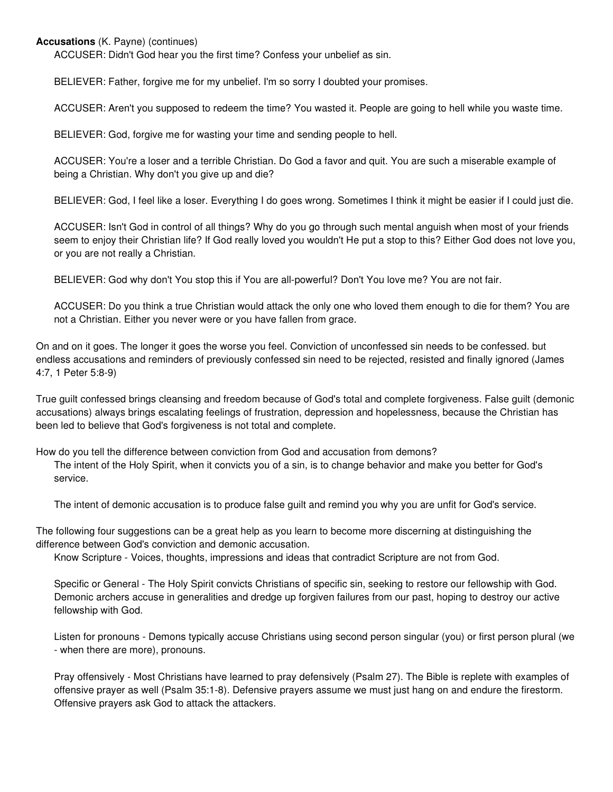### **Accusations** (K. Payne) (continues)

service.

ACCUSER: Didn't God hear you the first time? Confess your unbelief as sin.

BELIEVER: Father, forgive me for my unbelief. I'm so sorry I doubted your promises.

ACCUSER: Aren't you supposed to redeem the time? You wasted it. People are going to hell while you waste time.

BELIEVER: God, forgive me for wasting your time and sending people to hell.

ACCUSER: You're a loser and a terrible Christian. Do God a favor and quit. You are such a miserable example of being a Christian. Why don't you give up and die?

BELIEVER: God, I feel like a loser. Everything I do goes wrong. Sometimes I think it might be easier if I could just die.

ACCUSER: Isn't God in control of all things? Why do you go through such mental anguish when most of your friends seem to enjoy their Christian life? If God really loved you wouldn't He put a stop to this? Either God does not love you, or you are not really a Christian.

BELIEVER: God why don't You stop this if You are all-powerful? Don't You love me? You are not fair.

ACCUSER: Do you think a true Christian would attack the only one who loved them enough to die for them? You are not a Christian. Either you never were or you have fallen from grace.

On and on it goes. The longer it goes the worse you feel. Conviction of unconfessed sin needs to be confessed. but endless accusations and reminders of previously confessed sin need to be rejected, resisted and finally ignored (James 4:7, 1 Peter 5:8-9)

True guilt confessed brings cleansing and freedom because of God's total and complete forgiveness. False guilt (demonic accusations) always brings escalating feelings of frustration, depression and hopelessness, because the Christian has been led to believe that God's forgiveness is not total and complete.

How do you tell the difference between conviction from God and accusation from demons? The intent of the Holy Spirit, when it convicts you of a sin, is to change behavior and make you better for God's

The intent of demonic accusation is to produce false guilt and remind you why you are unfit for God's service.

The following four suggestions can be a great help as you learn to become more discerning at distinguishing the difference between God's conviction and demonic accusation.

Know Scripture - Voices, thoughts, impressions and ideas that contradict Scripture are not from God.

Specific or General - The Holy Spirit convicts Christians of specific sin, seeking to restore our fellowship with God. Demonic archers accuse in generalities and dredge up forgiven failures from our past, hoping to destroy our active fellowship with God.

Listen for pronouns - Demons typically accuse Christians using second person singular (you) or first person plural (we - when there are more), pronouns.

Pray offensively - Most Christians have learned to pray defensively (Psalm 27). The Bible is replete with examples of offensive prayer as well (Psalm 35:1-8). Defensive prayers assume we must just hang on and endure the firestorm. Offensive prayers ask God to attack the attackers.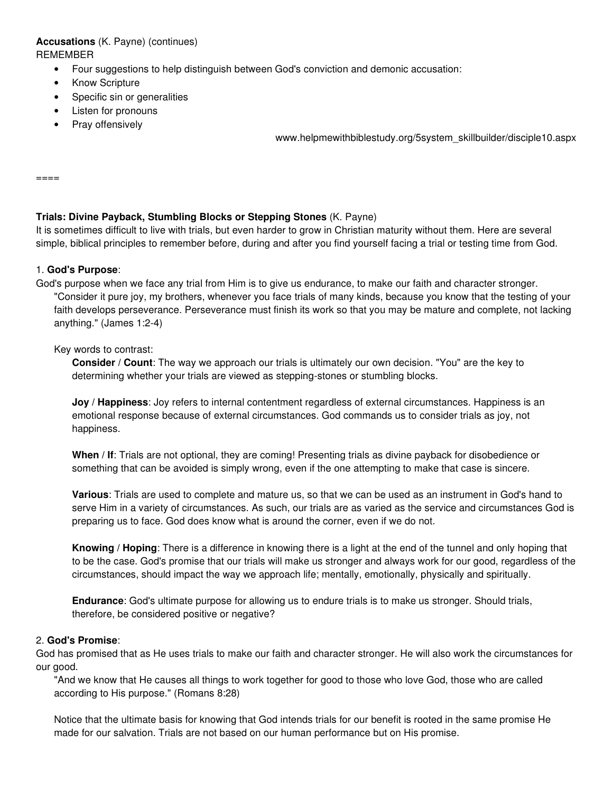# **Accusations** (K. Payne) (continues) REMEMBER

- Four suggestions to help distinguish between God's conviction and demonic accusation:
- Know Scripture
- Specific sin or generalities
- Listen for pronouns
- Pray offensively

www.helpmewithbiblestudy.org/5system\_skillbuilder/disciple10.aspx

 $=$  $=$  $=$  $=$  $=$ 

### **Trials: Divine Payback, Stumbling Blocks or Stepping Stones** (K. Payne)

It is sometimes difficult to live with trials, but even harder to grow in Christian maturity without them. Here are several simple, biblical principles to remember before, during and after you find yourself facing a trial or testing time from God.

### 1. **God's Purpose**:

God's purpose when we face any trial from Him is to give us endurance, to make our faith and character stronger. "Consider it pure joy, my brothers, whenever you face trials of many kinds, because you know that the testing of your faith develops perseverance. Perseverance must finish its work so that you may be mature and complete, not lacking anything." (James 1:2-4)

#### Key words to contrast:

**Consider / Count**: The way we approach our trials is ultimately our own decision. "You" are the key to determining whether your trials are viewed as stepping-stones or stumbling blocks.

**Joy / Happiness**: Joy refers to internal contentment regardless of external circumstances. Happiness is an emotional response because of external circumstances. God commands us to consider trials as joy, not happiness.

**When / If:** Trials are not optional, they are coming! Presenting trials as divine payback for disobedience or something that can be avoided is simply wrong, even if the one attempting to make that case is sincere.

**Various**: Trials are used to complete and mature us, so that we can be used as an instrument in God's hand to serve Him in a variety of circumstances. As such, our trials are as varied as the service and circumstances God is preparing us to face. God does know what is around the corner, even if we do not.

**Knowing / Hoping**: There is a difference in knowing there is a light at the end of the tunnel and only hoping that to be the case. God's promise that our trials will make us stronger and always work for our good, regardless of the circumstances, should impact the way we approach life; mentally, emotionally, physically and spiritually.

**Endurance**: God's ultimate purpose for allowing us to endure trials is to make us stronger. Should trials, therefore, be considered positive or negative?

### 2. **God's Promise**:

God has promised that as He uses trials to make our faith and character stronger. He will also work the circumstances for our good.

"And we know that He causes all things to work together for good to those who love God, those who are called according to His purpose." (Romans 8:28)

Notice that the ultimate basis for knowing that God intends trials for our benefit is rooted in the same promise He made for our salvation. Trials are not based on our human performance but on His promise.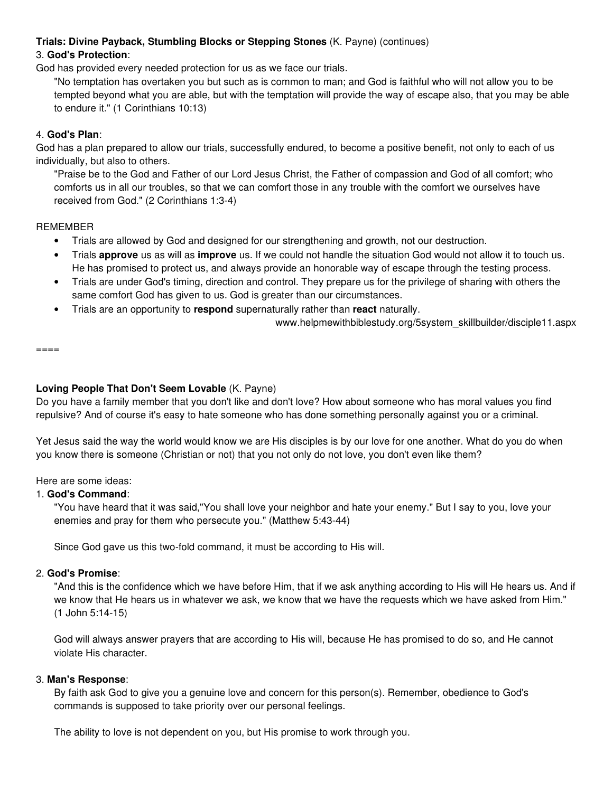# **Trials: Divine Payback, Stumbling Blocks or Stepping Stones** (K. Payne) (continues)

# 3. **God's Protection**:

God has provided every needed protection for us as we face our trials.

"No temptation has overtaken you but such as is common to man; and God is faithful who will not allow you to be tempted beyond what you are able, but with the temptation will provide the way of escape also, that you may be able to endure it." (1 Corinthians 10:13)

# 4. **God's Plan**:

God has a plan prepared to allow our trials, successfully endured, to become a positive benefit, not only to each of us individually, but also to others.

"Praise be to the God and Father of our Lord Jesus Christ, the Father of compassion and God of all comfort; who comforts us in all our troubles, so that we can comfort those in any trouble with the comfort we ourselves have received from God." (2 Corinthians 1:3-4)

### REMEMBER

- Trials are allowed by God and designed for our strengthening and growth, not our destruction.
- Trials **approve** us as will as **improve** us. If we could not handle the situation God would not allow it to touch us. He has promised to protect us, and always provide an honorable way of escape through the testing process.
- Trials are under God's timing, direction and control. They prepare us for the privilege of sharing with others the same comfort God has given to us. God is greater than our circumstances.
- Trials are an opportunity to **respond** supernaturally rather than **react** naturally.

www.helpmewithbiblestudy.org/5system\_skillbuilder/disciple11.aspx

====

# **Loving People That Don't Seem Lovable** (K. Payne)

Do you have a family member that you don't like and don't love? How about someone who has moral values you find repulsive? And of course it's easy to hate someone who has done something personally against you or a criminal.

Yet Jesus said the way the world would know we are His disciples is by our love for one another. What do you do when you know there is someone (Christian or not) that you not only do not love, you don't even like them?

### Here are some ideas:

# 1. **God's Command**:

"You have heard that it was said,"You shall love your neighbor and hate your enemy." But I say to you, love your enemies and pray for them who persecute you." (Matthew 5:43-44)

Since God gave us this two-fold command, it must be according to His will.

### 2. **God's Promise**:

"And this is the confidence which we have before Him, that if we ask anything according to His will He hears us. And if we know that He hears us in whatever we ask, we know that we have the requests which we have asked from Him." (1 John 5:14-15)

God will always answer prayers that are according to His will, because He has promised to do so, and He cannot violate His character.

### 3. **Man's Response**:

By faith ask God to give you a genuine love and concern for this person(s). Remember, obedience to God's commands is supposed to take priority over our personal feelings.

The ability to love is not dependent on you, but His promise to work through you.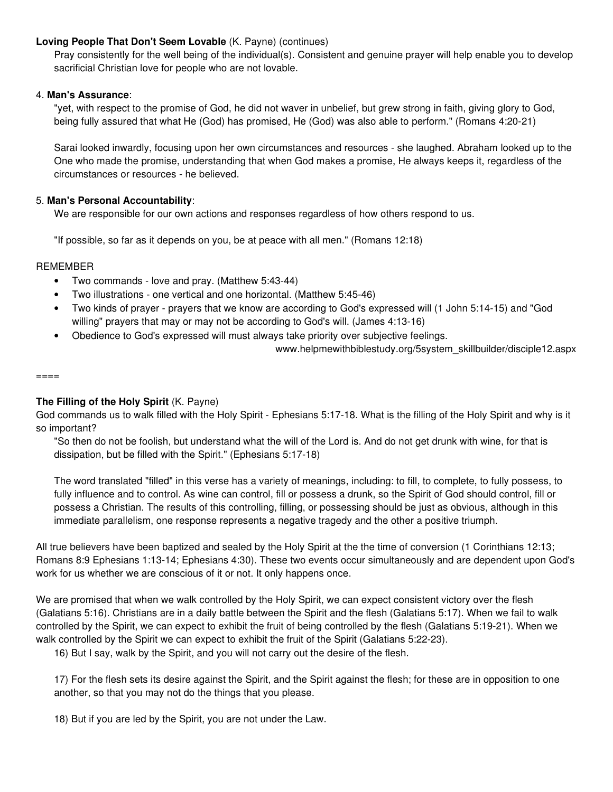### **Loving People That Don't Seem Lovable** (K. Payne) (continues)

Pray consistently for the well being of the individual(s). Consistent and genuine prayer will help enable you to develop sacrificial Christian love for people who are not lovable.

### 4. **Man's Assurance**:

"yet, with respect to the promise of God, he did not waver in unbelief, but grew strong in faith, giving glory to God, being fully assured that what He (God) has promised, He (God) was also able to perform." (Romans 4:20-21)

Sarai looked inwardly, focusing upon her own circumstances and resources - she laughed. Abraham looked up to the One who made the promise, understanding that when God makes a promise, He always keeps it, regardless of the circumstances or resources - he believed.

### 5. **Man's Personal Accountability**:

We are responsible for our own actions and responses regardless of how others respond to us.

"If possible, so far as it depends on you, be at peace with all men." (Romans 12:18)

#### REMEMBER

- Two commands love and pray. (Matthew 5:43-44)
- Two illustrations one vertical and one horizontal. (Matthew 5:45-46)
- Two kinds of prayer prayers that we know are according to God's expressed will (1 John 5:14-15) and "God willing" prayers that may or may not be according to God's will. (James 4:13-16)
- Obedience to God's expressed will must always take priority over subjective feelings.

www.helpmewithbiblestudy.org/5system\_skillbuilder/disciple12.aspx

#### $====$

### **The Filling of the Holy Spirit** (K. Payne)

God commands us to walk filled with the Holy Spirit - Ephesians 5:17-18. What is the filling of the Holy Spirit and why is it so important?

"So then do not be foolish, but understand what the will of the Lord is. And do not get drunk with wine, for that is dissipation, but be filled with the Spirit." (Ephesians 5:17-18)

The word translated "filled" in this verse has a variety of meanings, including: to fill, to complete, to fully possess, to fully influence and to control. As wine can control, fill or possess a drunk, so the Spirit of God should control, fill or possess a Christian. The results of this controlling, filling, or possessing should be just as obvious, although in this immediate parallelism, one response represents a negative tragedy and the other a positive triumph.

All true believers have been baptized and sealed by the Holy Spirit at the the time of conversion (1 Corinthians 12:13; Romans 8:9 Ephesians 1:13-14; Ephesians 4:30). These two events occur simultaneously and are dependent upon God's work for us whether we are conscious of it or not. It only happens once.

We are promised that when we walk controlled by the Holy Spirit, we can expect consistent victory over the flesh (Galatians 5:16). Christians are in a daily battle between the Spirit and the flesh (Galatians 5:17). When we fail to walk controlled by the Spirit, we can expect to exhibit the fruit of being controlled by the flesh (Galatians 5:19-21). When we walk controlled by the Spirit we can expect to exhibit the fruit of the Spirit (Galatians 5:22-23).

16) But I say, walk by the Spirit, and you will not carry out the desire of the flesh.

17) For the flesh sets its desire against the Spirit, and the Spirit against the flesh; for these are in opposition to one another, so that you may not do the things that you please.

18) But if you are led by the Spirit, you are not under the Law.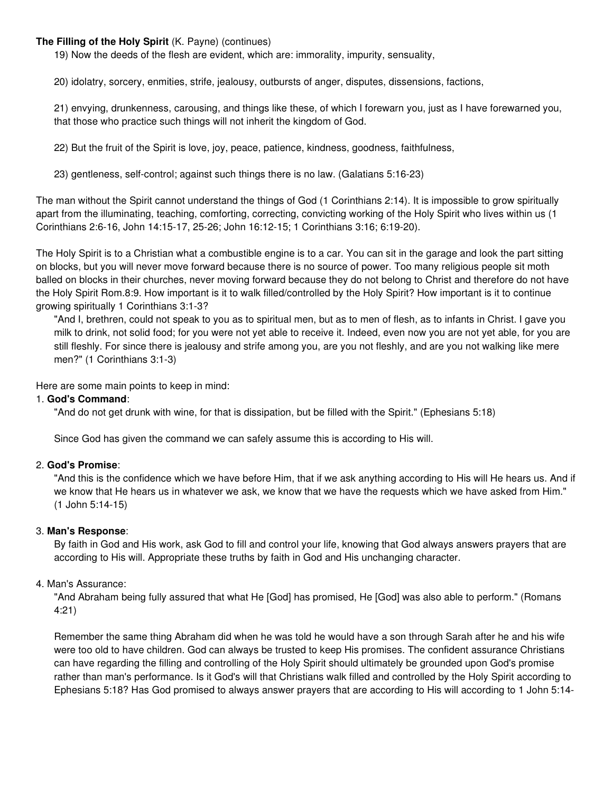### **The Filling of the Holy Spirit** (K. Payne) (continues)

19) Now the deeds of the flesh are evident, which are: immorality, impurity, sensuality,

20) idolatry, sorcery, enmities, strife, jealousy, outbursts of anger, disputes, dissensions, factions,

21) envying, drunkenness, carousing, and things like these, of which I forewarn you, just as I have forewarned you, that those who practice such things will not inherit the kingdom of God.

22) But the fruit of the Spirit is love, joy, peace, patience, kindness, goodness, faithfulness,

23) gentleness, self-control; against such things there is no law. (Galatians 5:16-23)

The man without the Spirit cannot understand the things of God (1 Corinthians 2:14). It is impossible to grow spiritually apart from the illuminating, teaching, comforting, correcting, convicting working of the Holy Spirit who lives within us (1 Corinthians 2:6-16, John 14:15-17, 25-26; John 16:12-15; 1 Corinthians 3:16; 6:19-20).

The Holy Spirit is to a Christian what a combustible engine is to a car. You can sit in the garage and look the part sitting on blocks, but you will never move forward because there is no source of power. Too many religious people sit moth balled on blocks in their churches, never moving forward because they do not belong to Christ and therefore do not have the Holy Spirit Rom.8:9. How important is it to walk filled/controlled by the Holy Spirit? How important is it to continue growing spiritually 1 Corinthians 3:1-3?

"And I, brethren, could not speak to you as to spiritual men, but as to men of flesh, as to infants in Christ. I gave you milk to drink, not solid food; for you were not yet able to receive it. Indeed, even now you are not yet able, for you are still fleshly. For since there is jealousy and strife among you, are you not fleshly, and are you not walking like mere men?" (1 Corinthians 3:1-3)

Here are some main points to keep in mind:

### 1. **God's Command**:

"And do not get drunk with wine, for that is dissipation, but be filled with the Spirit." (Ephesians 5:18)

Since God has given the command we can safely assume this is according to His will.

#### 2. **God's Promise**:

"And this is the confidence which we have before Him, that if we ask anything according to His will He hears us. And if we know that He hears us in whatever we ask, we know that we have the requests which we have asked from Him." (1 John 5:14-15)

### 3. **Man's Response**:

By faith in God and His work, ask God to fill and control your life, knowing that God always answers prayers that are according to His will. Appropriate these truths by faith in God and His unchanging character.

### 4. Man's Assurance:

"And Abraham being fully assured that what He [God] has promised, He [God] was also able to perform." (Romans 4:21)

Remember the same thing Abraham did when he was told he would have a son through Sarah after he and his wife were too old to have children. God can always be trusted to keep His promises. The confident assurance Christians can have regarding the filling and controlling of the Holy Spirit should ultimately be grounded upon God's promise rather than man's performance. Is it God's will that Christians walk filled and controlled by the Holy Spirit according to Ephesians 5:18? Has God promised to always answer prayers that are according to His will according to 1 John 5:14-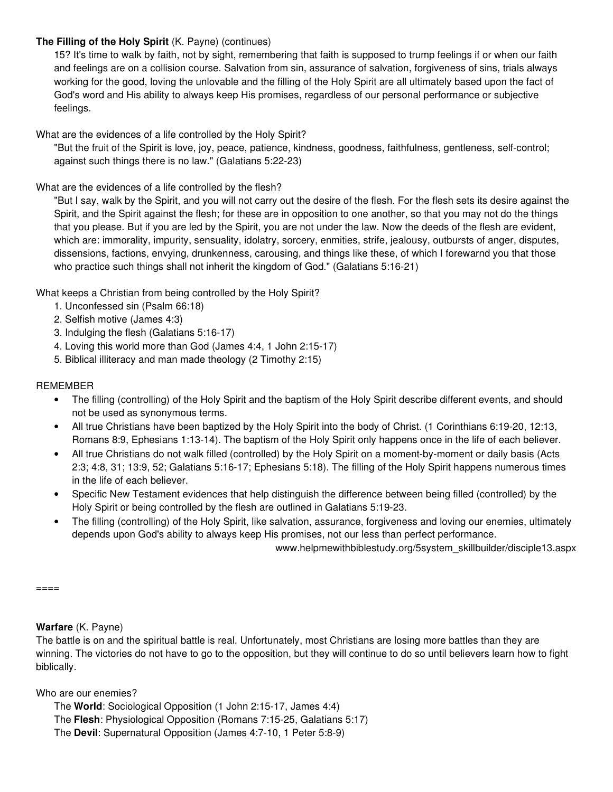# **The Filling of the Holy Spirit** (K. Payne) (continues)

15? It's time to walk by faith, not by sight, remembering that faith is supposed to trump feelings if or when our faith and feelings are on a collision course. Salvation from sin, assurance of salvation, forgiveness of sins, trials always working for the good, loving the unlovable and the filling of the Holy Spirit are all ultimately based upon the fact of God's word and His ability to always keep His promises, regardless of our personal performance or subjective feelings.

What are the evidences of a life controlled by the Holy Spirit?

"But the fruit of the Spirit is love, joy, peace, patience, kindness, goodness, faithfulness, gentleness, self-control; against such things there is no law." (Galatians 5:22-23)

What are the evidences of a life controlled by the flesh?

"But I say, walk by the Spirit, and you will not carry out the desire of the flesh. For the flesh sets its desire against the Spirit, and the Spirit against the flesh; for these are in opposition to one another, so that you may not do the things that you please. But if you are led by the Spirit, you are not under the law. Now the deeds of the flesh are evident, which are: immorality, impurity, sensuality, idolatry, sorcery, enmities, strife, jealousy, outbursts of anger, disputes, dissensions, factions, envying, drunkenness, carousing, and things like these, of which I forewarnd you that those who practice such things shall not inherit the kingdom of God." (Galatians 5:16-21)

What keeps a Christian from being controlled by the Holy Spirit?

- 1. Unconfessed sin (Psalm 66:18)
- 2. Selfish motive (James 4:3)
- 3. Indulging the flesh (Galatians 5:16-17)
- 4. Loving this world more than God (James 4:4, 1 John 2:15-17)
- 5. Biblical illiteracy and man made theology (2 Timothy 2:15)

### REMEMBER

- The filling (controlling) of the Holy Spirit and the baptism of the Holy Spirit describe different events, and should not be used as synonymous terms.
- All true Christians have been baptized by the Holy Spirit into the body of Christ. (1 Corinthians 6:19-20, 12:13, Romans 8:9, Ephesians 1:13-14). The baptism of the Holy Spirit only happens once in the life of each believer.
- All true Christians do not walk filled (controlled) by the Holy Spirit on a moment-by-moment or daily basis (Acts 2:3; 4:8, 31; 13:9, 52; Galatians 5:16-17; Ephesians 5:18). The filling of the Holy Spirit happens numerous times in the life of each believer.
- Specific New Testament evidences that help distinguish the difference between being filled (controlled) by the Holy Spirit or being controlled by the flesh are outlined in Galatians 5:19-23.
- The filling (controlling) of the Holy Spirit, like salvation, assurance, forgiveness and loving our enemies, ultimately depends upon God's ability to always keep His promises, not our less than perfect performance.

www.helpmewithbiblestudy.org/5system\_skillbuilder/disciple13.aspx

====

**Warfare** (K. Payne)

The battle is on and the spiritual battle is real. Unfortunately, most Christians are losing more battles than they are winning. The victories do not have to go to the opposition, but they will continue to do so until believers learn how to fight biblically.

Who are our enemies?

The **World**: Sociological Opposition (1 John 2:15-17, James 4:4) The **Flesh**: Physiological Opposition (Romans 7:15-25, Galatians 5:17) The **Devil**: Supernatural Opposition (James 4:7-10, 1 Peter 5:8-9)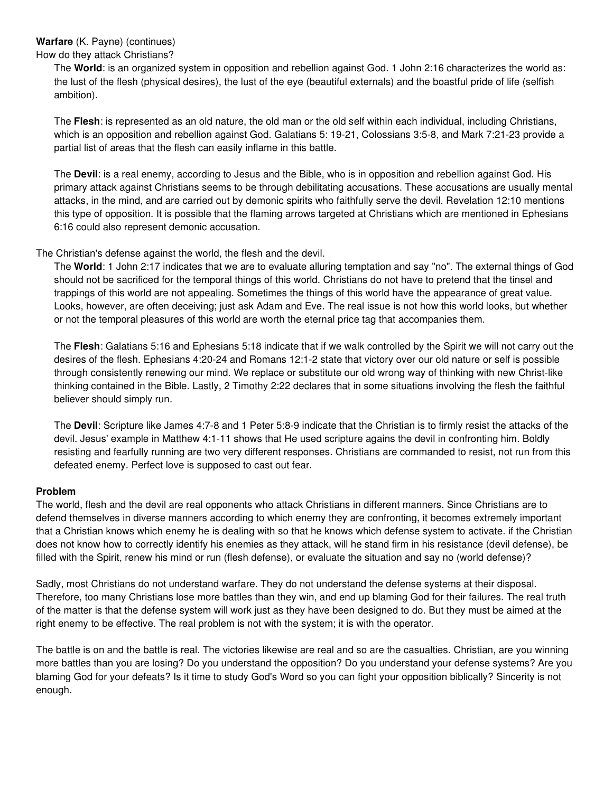# **Warfare** (K. Payne) (continues)

How do they attack Christians?

The **World**: is an organized system in opposition and rebellion against God. 1 John 2:16 characterizes the world as: the lust of the flesh (physical desires), the lust of the eye (beautiful externals) and the boastful pride of life (selfish ambition).

The **Flesh**: is represented as an old nature, the old man or the old self within each individual, including Christians, which is an opposition and rebellion against God. Galatians 5: 19-21, Colossians 3:5-8, and Mark 7:21-23 provide a partial list of areas that the flesh can easily inflame in this battle.

The **Devil**: is a real enemy, according to Jesus and the Bible, who is in opposition and rebellion against God. His primary attack against Christians seems to be through debilitating accusations. These accusations are usually mental attacks, in the mind, and are carried out by demonic spirits who faithfully serve the devil. Revelation 12:10 mentions this type of opposition. It is possible that the flaming arrows targeted at Christians which are mentioned in Ephesians 6:16 could also represent demonic accusation.

### The Christian's defense against the world, the flesh and the devil.

The **World**: 1 John 2:17 indicates that we are to evaluate alluring temptation and say "no". The external things of God should not be sacrificed for the temporal things of this world. Christians do not have to pretend that the tinsel and trappings of this world are not appealing. Sometimes the things of this world have the appearance of great value. Looks, however, are often deceiving; just ask Adam and Eve. The real issue is not how this world looks, but whether or not the temporal pleasures of this world are worth the eternal price tag that accompanies them.

The **Flesh**: Galatians 5:16 and Ephesians 5:18 indicate that if we walk controlled by the Spirit we will not carry out the desires of the flesh. Ephesians 4:20-24 and Romans 12:1-2 state that victory over our old nature or self is possible through consistently renewing our mind. We replace or substitute our old wrong way of thinking with new Christ-like thinking contained in the Bible. Lastly, 2 Timothy 2:22 declares that in some situations involving the flesh the faithful believer should simply run.

The **Devil**: Scripture like James 4:7-8 and 1 Peter 5:8-9 indicate that the Christian is to firmly resist the attacks of the devil. Jesus' example in Matthew 4:1-11 shows that He used scripture agains the devil in confronting him. Boldly resisting and fearfully running are two very different responses. Christians are commanded to resist, not run from this defeated enemy. Perfect love is supposed to cast out fear.

### **Problem**

The world, flesh and the devil are real opponents who attack Christians in different manners. Since Christians are to defend themselves in diverse manners according to which enemy they are confronting, it becomes extremely important that a Christian knows which enemy he is dealing with so that he knows which defense system to activate. if the Christian does not know how to correctly identify his enemies as they attack, will he stand firm in his resistance (devil defense), be filled with the Spirit, renew his mind or run (flesh defense), or evaluate the situation and say no (world defense)?

Sadly, most Christians do not understand warfare. They do not understand the defense systems at their disposal. Therefore, too many Christians lose more battles than they win, and end up blaming God for their failures. The real truth of the matter is that the defense system will work just as they have been designed to do. But they must be aimed at the right enemy to be effective. The real problem is not with the system; it is with the operator.

The battle is on and the battle is real. The victories likewise are real and so are the casualties. Christian, are you winning more battles than you are losing? Do you understand the opposition? Do you understand your defense systems? Are you blaming God for your defeats? Is it time to study God's Word so you can fight your opposition biblically? Sincerity is not enough.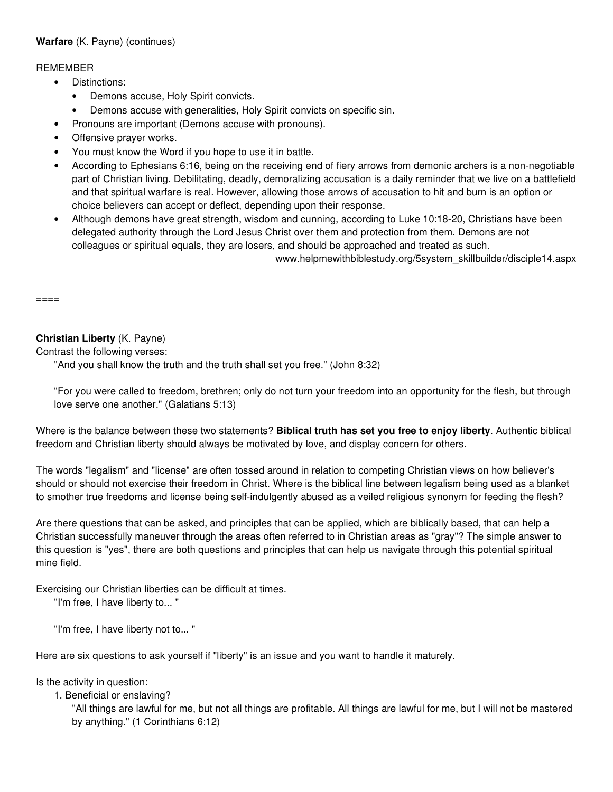# **Warfare** (K. Payne) (continues)

### REMEMBER

- Distinctions:
	- Demons accuse, Holy Spirit convicts.
	- Demons accuse with generalities, Holy Spirit convicts on specific sin.
- Pronouns are important (Demons accuse with pronouns).
- Offensive prayer works.
- You must know the Word if you hope to use it in battle.
- According to Ephesians 6:16, being on the receiving end of fiery arrows from demonic archers is a non-negotiable part of Christian living. Debilitating, deadly, demoralizing accusation is a daily reminder that we live on a battlefield and that spiritual warfare is real. However, allowing those arrows of accusation to hit and burn is an option or choice believers can accept or deflect, depending upon their response.
- Although demons have great strength, wisdom and cunning, according to Luke 10:18-20, Christians have been delegated authority through the Lord Jesus Christ over them and protection from them. Demons are not colleagues or spiritual equals, they are losers, and should be approached and treated as such.

www.helpmewithbiblestudy.org/5system\_skillbuilder/disciple14.aspx

 $=====$ 

# **Christian Liberty** (K. Payne)

Contrast the following verses:

"And you shall know the truth and the truth shall set you free." (John 8:32)

"For you were called to freedom, brethren; only do not turn your freedom into an opportunity for the flesh, but through love serve one another." (Galatians 5:13)

Where is the balance between these two statements? **Biblical truth has set you free to enjoy liberty**. Authentic biblical freedom and Christian liberty should always be motivated by love, and display concern for others.

The words "legalism" and "license" are often tossed around in relation to competing Christian views on how believer's should or should not exercise their freedom in Christ. Where is the biblical line between legalism being used as a blanket to smother true freedoms and license being self-indulgently abused as a veiled religious synonym for feeding the flesh?

Are there questions that can be asked, and principles that can be applied, which are biblically based, that can help a Christian successfully maneuver through the areas often referred to in Christian areas as "gray"? The simple answer to this question is "yes", there are both questions and principles that can help us navigate through this potential spiritual mine field.

Exercising our Christian liberties can be difficult at times.

"I'm free, I have liberty to... "

"I'm free, I have liberty not to... "

Here are six questions to ask yourself if "liberty" is an issue and you want to handle it maturely.

Is the activity in question:

1. Beneficial or enslaving?

"All things are lawful for me, but not all things are profitable. All things are lawful for me, but I will not be mastered by anything." (1 Corinthians 6:12)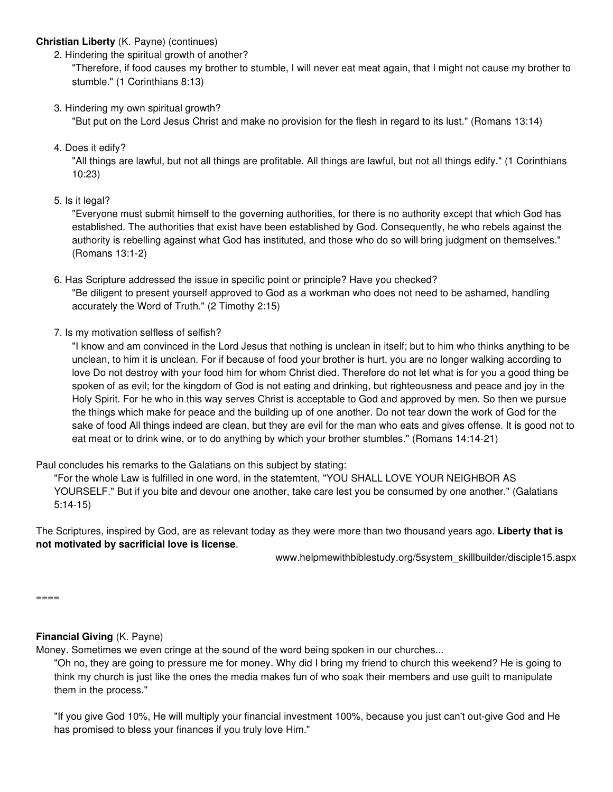### **Christian Liberty** (K. Payne) (continues)

2. Hindering the spiritual growth of another?

"Therefore, if food causes my brother to stumble, I will never eat meat again, that I might not cause my brother to stumble." (1 Corinthians 8:13)

3. Hindering my own spiritual growth?

"But put on the Lord Jesus Christ and make no provision for the flesh in regard to its lust." (Romans 13:14)

4. Does it edify?

"All things are lawful, but not all things are profitable. All things are lawful, but not all things edify." (1 Corinthians 10:23)

5. Is it legal?

"Everyone must submit himself to the governing authorities, for there is no authority except that which God has established. The authorities that exist have been established by God. Consequently, he who rebels against the authority is rebelling against what God has instituted, and those who do so will bring judgment on themselves." (Romans 13:1-2)

- 6. Has Scripture addressed the issue in specific point or principle? Have you checked? "Be diligent to present yourself approved to God as a workman who does not need to be ashamed, handling accurately the Word of Truth." (2 Timothy 2:15)
- 7. Is my motivation selfless of selfish?

"I know and am convinced in the Lord Jesus that nothing is unclean in itself; but to him who thinks anything to be unclean, to him it is unclean. For if because of food your brother is hurt, you are no longer walking according to love Do not destroy with your food him for whom Christ died. Therefore do not let what is for you a good thing be spoken of as evil; for the kingdom of God is not eating and drinking, but righteousness and peace and joy in the Holy Spirit. For he who in this way serves Christ is acceptable to God and approved by men. So then we pursue the things which make for peace and the building up of one another. Do not tear down the work of God for the sake of food All things indeed are clean, but they are evil for the man who eats and gives offense. It is good not to eat meat or to drink wine, or to do anything by which your brother stumbles." (Romans 14:14-21)

Paul concludes his remarks to the Galatians on this subject by stating:

"For the whole Law is fulfilled in one word, in the statemtent, "YOU SHALL LOVE YOUR NEIGHBOR AS YOURSELF." But if you bite and devour one another, take care lest you be consumed by one another." (Galatians 5:14-15)

The Scriptures, inspired by God, are as relevant today as they were more than two thousand years ago. **Liberty that is not motivated by sacrificial love is license**.

www.helpmewithbiblestudy.org/5system\_skillbuilder/disciple15.aspx

====

### **Financial Giving** (K. Payne)

Money. Sometimes we even cringe at the sound of the word being spoken in our churches...

"Oh no, they are going to pressure me for money. Why did I bring my friend to church this weekend? He is going to think my church is just like the ones the media makes fun of who soak their members and use guilt to manipulate them in the process."

"If you give God 10%, He will multiply your financial investment 100%, because you just can't out-give God and He has promised to bless your finances if you truly love Him."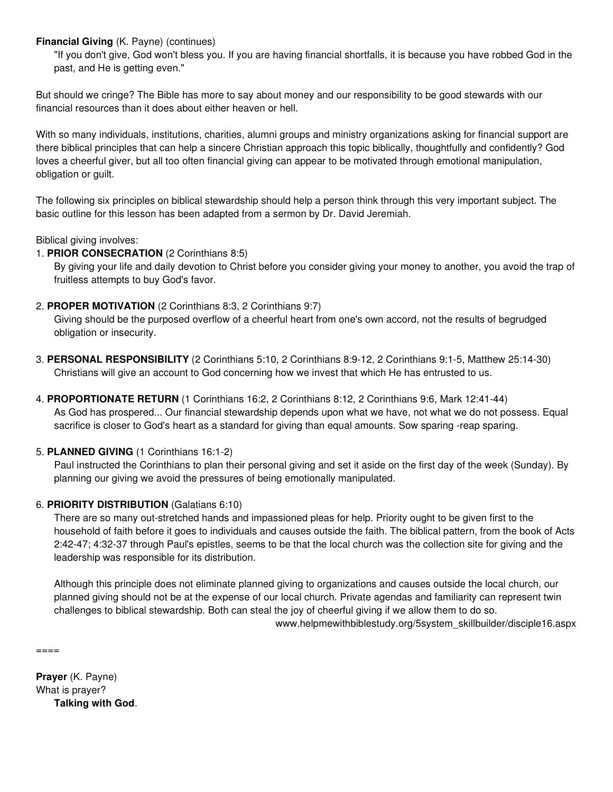**Financial Giving** (K. Payne) (continues)

"If you don't give, God won't bless you. If you are having financial shortfalls, it is because you have robbed God in the past, and He is getting even."

But should we cringe? The Bible has more to say about money and our responsibility to be good stewards with our financial resources than it does about either heaven or hell.

With so many individuals, institutions, charities, alumni groups and ministry organizations asking for financial support are there biblical principles that can help a sincere Christian approach this topic biblically, thoughtfully and confidently? God loves a cheerful giver, but all too often financial giving can appear to be motivated through emotional manipulation, obligation or guilt.

The following six principles on biblical stewardship should help a person think through this very important subject. The basic outline for this lesson has been adapted from a sermon by Dr. David Jeremiah.

Biblical giving involves:

1. **PRIOR CONSECRATION** (2 Corinthians 8:5)

By giving your life and daily devotion to Christ before you consider giving your money to another, you avoid the trap of fruitless attempts to buy God's favor.

2. **PROPER MOTIVATION** (2 Corinthians 8:3, 2 Corinthians 9:7)

Giving should be the purposed overflow of a cheerful heart from one's own accord, not the results of begrudged obligation or insecurity.

- 3. **PERSONAL RESPONSIBILITY** (2 Corinthians 5:10, 2 Corinthians 8:9-12, 2 Corinthians 9:1-5, Matthew 25:14-30) Christians will give an account to God concerning how we invest that which He has entrusted to us.
- 4. **PROPORTIONATE RETURN** (1 Corinthians 16:2, 2 Corinthians 8:12, 2 Corinthians 9:6, Mark 12:41-44) As God has prospered... Our financial stewardship depends upon what we have, not what we do not possess. Equal sacrifice is closer to God's heart as a standard for giving than equal amounts. Sow sparing -reap sparing.

# 5. **PLANNED GIVING** (1 Corinthians 16:1-2)

Paul instructed the Corinthians to plan their personal giving and set it aside on the first day of the week (Sunday). By planning our giving we avoid the pressures of being emotionally manipulated.

# 6. **PRIORITY DISTRIBUTION** (Galatians 6:10)

There are so many out-stretched hands and impassioned pleas for help. Priority ought to be given first to the household of faith before it goes to individuals and causes outside the faith. The biblical pattern, from the book of Acts 2:42-47; 4:32-37 through Paul's epistles, seems to be that the local church was the collection site for giving and the leadership was responsible for its distribution.

Although this principle does not eliminate planned giving to organizations and causes outside the local church, our planned giving should not be at the expense of our local church. Private agendas and familiarity can represent twin challenges to biblical stewardship. Both can steal the joy of cheerful giving if we allow them to do so. www.helpmewithbiblestudy.org/5system\_skillbuilder/disciple16.aspx

====

**Prayer** (K. Payne) What is prayer? **Talking with God**.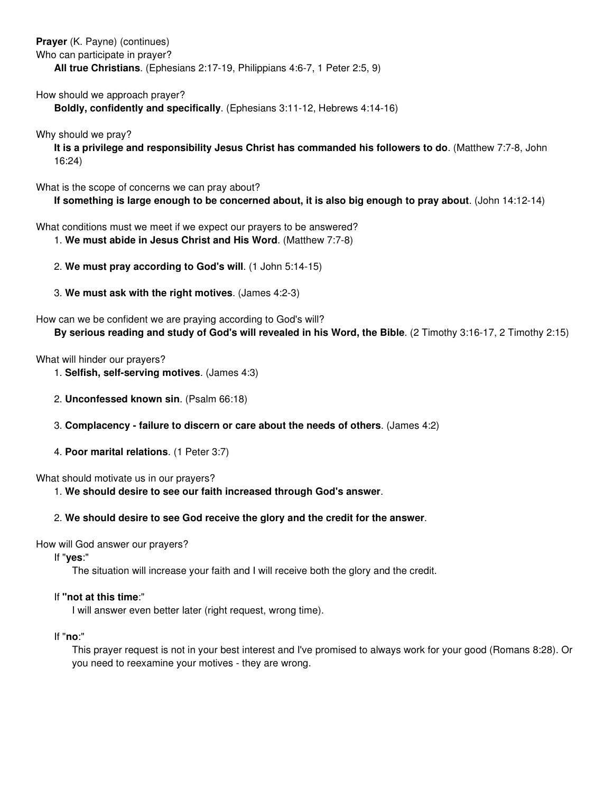**Prayer** (K. Payne) (continues)

Who can participate in prayer?

**All true Christians**. (Ephesians 2:17-19, Philippians 4:6-7, 1 Peter 2:5, 9)

How should we approach prayer?

**Boldly, confidently and specifically**. (Ephesians 3:11-12, Hebrews 4:14-16)

Why should we pray?

**It is a privilege and responsibility Jesus Christ has commanded his followers to do**. (Matthew 7:7-8, John 16:24)

What is the scope of concerns we can pray about?

**If something is large enough to be concerned about, it is also big enough to pray about**. (John 14:12-14)

What conditions must we meet if we expect our prayers to be answered?

- 1. **We must abide in Jesus Christ and His Word**. (Matthew 7:7-8)
- 2. **We must pray according to God's will**. (1 John 5:14-15)
- 3. **We must ask with the right motives**. (James 4:2-3)

#### How can we be confident we are praying according to God's will? **By serious reading and study of God's will revealed in his Word, the Bible**. (2 Timothy 3:16-17, 2 Timothy 2:15)

What will hinder our prayers?

- 1. **Selfish, self-serving motives**. (James 4:3)
- 2. **Unconfessed known sin**. (Psalm 66:18)

# 3. **Complacency - failure to discern or care about the needs of others**. (James 4:2)

4. **Poor marital relations**. (1 Peter 3:7)

What should motivate us in our prayers?

1. **We should desire to see our faith increased through God's answer**.

# 2. **We should desire to see God receive the glory and the credit for the answer**.

### How will God answer our prayers?

If "**yes**:"

The situation will increase your faith and I will receive both the glory and the credit.

# If **"not at this time**:"

I will answer even better later (right request, wrong time).

If "**no**:"

This prayer request is not in your best interest and I've promised to always work for your good (Romans 8:28). Or you need to reexamine your motives - they are wrong.